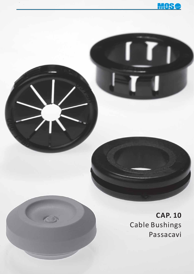

**CAP. 10** Cable Bushings Passacavi

 $\bigodot$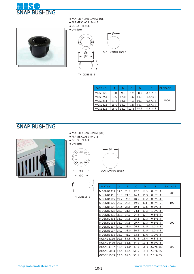



- **◆** MATERIAL:NYLON 66 (UL)
- **◆** FLAME CLASS :94V-2
- **◆** COLOR:BLACK
- **◆** UNIT:**㎜**





MOUNTING HOLE

THICKNESS: E

| <b>PART NO</b> |      | B    |      | D    |                 | PACKAGE |
|----------------|------|------|------|------|-----------------|---------|
| MOS3123        | 8.0  | 9.5  | 5.2  | 8.2  | $0.8^{\sim}1.8$ |         |
| <b>MOS3754</b> | 9.5  | 12.0 | 6.6  | 10.3 | $0.8^{\sim}3.3$ |         |
| MOS0811        | 11.1 | 13.6 | 8.4  | 10.3 | $0.8^{\sim}3.3$ | 1000    |
| MOS0813        | 13.0 | 15.1 | 9.8  | 10.3 | $0.8^{\sim}3.3$ |         |
| MOS1216        | 16.0 | 18.2 | 12.8 | 10.3 | $0.8^{\sim}3.3$ |         |

#### SNAP BUSHING



- **◆** MATERIAL:NYLON 66 (UL)
- **◆** FLAME CLASS :94V-2
- **◆** COLOR:BLACK
- **◆** UNIT:**㎜**

 $\ddagger$ 



 $-\phi$ B  $-$ 

 $\rightarrow$ 



MOUNTING HOLE

| ØС |  |
|----|--|
|    |  |

THICKNESS: E

| PART NO          | A    | B    | C    | D    | E                 | <b>PACKAGE</b> |
|------------------|------|------|------|------|-------------------|----------------|
| MOSNB1217        | 17.5 | 20.0 | 12.7 | 10.3 | $0.8^{\sim}3.3$   |                |
| MOSNB1419        | 19.0 | 21.5 | 14.3 | 11.3 | $0.8^{\sim}3.3$   | 200            |
| MOSNB1722        | 22.2 | 25.1 | 18.6 | 11.2 | $0.8^{\sim}3.3$   |                |
| <b>MOSNB1922</b> | 22.2 | 23.8 | 19.0 | 6.3  | $0.8^{\sim}1.6$   | 100            |
| <b>MOSNB1925</b> | 25.4 | 27.8 | 19.4 | 10.8 | $0.8^{\sim}3.3$   |                |
| MOSNB2428        | 28.0 | 31.5 | 24.1 | 11.3 | $1.0^{\circ}3.3$  |                |
| MOSNB2430        | 30.1 | 34.0 | 24.5 | 11.7 | $0.8^{\sim}3.3$   |                |
| MOSNB2535        | 35.0 | 37.8 | 25.8 | 11.3 | $0.8^{\sim}3.5$   |                |
| MOSNB2935        | 35.0 | 37.8 | 29.7 | 11.3 | $0.8^{\sim}3.5$   | 200            |
| MOSNB2634        | 34.2 | 38.0 | 26.2 | 11.5 | $1.0^{\sim}3.1$   |                |
| MOSNB3034        | 34.2 | 38.0 | 30.4 | 11.5 | $1.0^{\sim}3.1$   |                |
| MOSNB3338        | 38.0 | 41.2 | 33.3 | 11.6 | $1.0^{\sim}3.3$   |                |
| MOSNB4150        | 50.8 | 53.8 | 41.8 | 11.4 | $0.8^{\sim}3.2$   |                |
| MOSNB4450        | 50.8 | 53.8 | 44.3 | 11.4 | $0.8^{\sim}3.2$   |                |
| MOSNB4757        | 57.1 | 63.0 | 47.3 | 18.1 | $2.0^{\circ}6.35$ | 100            |
| MOSNB5063        | 63.5 | 67.5 | 50.5 | 18.1 | $2.0^{\circ}6.35$ |                |
| MOSNB5563        | 63.5 | 67.5 | 55.5 | 18.1 | $2.0^{\circ}6.35$ |                |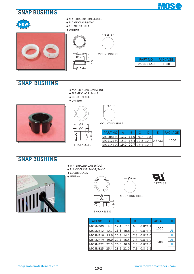#### SNAP BUSHING

NEW





- **◆** MATERIAL:NYLON 66 (UL)
- **◆** FLAME CLASS: 94V-2
- **◆** COLOR:NATURAL

**◆** UNIT:**㎜**





| Ø17.8<br>Ø12.7 | $\circ$ |   |
|----------------|---------|---|
| Ø16.6          |         | ന |

MOUNTING HOLE

| PARI      | PACKAGE |
|-----------|---------|
| MOSNB1215 | 1000    |

#### SNAP BUSHING

- **◆** MATERIAL:NYLON 66 (UL)
- **◆** FLAME CLASS :94V-2
- **◆** COLOR:BLACK









| ØA- |
|-----|
|     |
|     |
|     |

MOUNTING HOLE

| <b>PART NO</b>                       |  |  | PACKAGE |
|--------------------------------------|--|--|---------|
| MOS0813C 12.7 15.0                   |  |  |         |
| MOS1216C 15.9 18.4 12.8 10.4 0.8~3.3 |  |  | 1000    |
| MOS1419C 19.0 20.7 15.1 10.4         |  |  |         |

#### SNAP BUSHING

- **◆** MATERIAL:NYLON 66(UL)
- **◆** FLAME CLASS :94V-2/94V-0
- **◆** COLOR:BLACK

**◆** UNIT:**㎜**



 $-\phi$ c-

THICKNESS E

 $\cap$ 

 $\frac{1}{2}$ 





MOUNTING HOLE

| <b>PART NO</b> | А    | B                  |     | D   | F               | <b>PACKAGE</b> | UΙ |
|----------------|------|--------------------|-----|-----|-----------------|----------------|----|
| MOSNB09        |      | $9.5$   12.4       | 7.6 | 6.0 | $0.8^{\sim}1.2$ |                |    |
| MOSNB12        |      | 12.7   16.8   10.8 |     | 7.3 | $0.8^{\sim}1.2$ | 1000           | UI |
| MOSNB16        |      | 15.9   20.3   14.1 |     | 7.3 | $0.8^{\sim}1.0$ |                | UL |
| MOSNB19        | 19.0 | $22.5$   16.5      |     | 7.3 | $0.8^{\sim}1.0$ |                | UL |
| MOSNB22   22.0 |      | 26.0 20.0          |     | 7.3 | $0.8^{\sim}1.0$ | 500            |    |
| MOSNB25 125.4  |      | 28.6 22.0          |     | 7.9 | $0.8^{\sim}1.6$ |                |    |

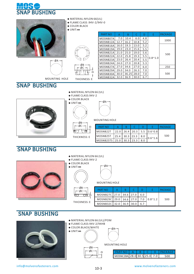

|        | $\triangle$ MATERIAL:NYLON 66(UL)<br>◆ FLAME CLASS :94V-2/94V-0<br>$\triangle$ COLOR: BLACK<br>$\triangle$ UNIT:mm |                      |      |      |        |     |                 |                |  |
|--------|--------------------------------------------------------------------------------------------------------------------|----------------------|------|------|--------|-----|-----------------|----------------|--|
|        |                                                                                                                    | <b>PART NO</b>       | A    | B    |        | D   | E               | <b>PACKAGE</b> |  |
|        |                                                                                                                    | MOSNB07A             | 7.0  | 10.4 | 6.0    | 4.8 |                 |                |  |
|        |                                                                                                                    | MOSNB12A             | 12.7 | 16.2 | 10.8   | 5.2 |                 | 1000           |  |
|        |                                                                                                                    | MOSNB16A             | 16.0 | 19.3 | 13.0   | 5.2 |                 |                |  |
|        | $\bar{t}$                                                                                                          | MOSNB19A             | 19.0 | 23.0 | 15.6   | 5.5 |                 |                |  |
|        |                                                                                                                    | MOSNB21A             | 21.0 | 25.0 | 19.0   | 5.6 |                 | 500            |  |
|        |                                                                                                                    | MOSNB22A             | 22.0 | 25.8 | 19.3   | 5.5 | $0.8^{\sim}1.0$ |                |  |
| — ØA — |                                                                                                                    | MOSNB23A             | 23.0 | 26.4 | 20.4   | 5.5 |                 |                |  |
|        |                                                                                                                    | $MOSNR2AA$ 24 0 27 0 |      |      | $20.8$ | 53  |                 |                |  |

 $\cap$ 

MOUNTING HOLE THICKNESS: E ØB ØC

| MOSNB12A | 12.7 | 16.2  | 10.8 | 5.2 |                 | TOOO |
|----------|------|-------|------|-----|-----------------|------|
| MOSNB16A | 16.0 | 19.3  | 13.0 | 5.2 |                 |      |
| MOSNB19A | 19.0 | 23.0  | 15.6 | 5.5 |                 |      |
| MOSNB21A | 21.0 | 25.0  | 19.0 | 5.6 | $0.8^{\sim}1.0$ | 500  |
| MOSNB22A | 22.0 | 25.8  | 19.3 | 5.5 |                 |      |
| MOSNB23A | 23.0 | 26.4  | 20.4 | 5.5 |                 |      |
| MOSNB24A | 24.0 | 27.0  | 20.8 | 5.3 |                 |      |
| MOSNB27A | 27.0 | 34.6  | 27.0 | 6.0 |                 | 250  |
| MOSNB29A | 29.0 | 34.0  | 26.3 | 7.0 |                 |      |
| MOSNB30A | 30.0 | 36.25 | 28.0 | 7.0 |                 | 500  |
| MOSNB32A | 32.0 | 36.9  | 30.0 | 6.7 |                 |      |
|          |      |       |      |     |                 |      |



- **◆** MATERIAL:NYLON 66 (UL)
- **◆** FLAME CLASS:94V-2



**◆** COLOR:BLACK **◆** UNIT:**㎜**

THICKNESS: E

 ØB ØC

≢न

 $\Omega$ 

┲╪



MOUNTING HOLE

| <b>PART NO</b> |      |             |      |     |                  | PACKAGE |
|----------------|------|-------------|------|-----|------------------|---------|
| MOSNB22T       | 22.0 | 26.4        | 20.3 | 5.5 | $0.6^{\circ}0.8$ |         |
| MOSNB25T       | 25.4 | $30.3$ 23.3 |      | 8.0 | $0.6^{\sim}1.6$  | 500     |
| MOSNB25TS      | 25.0 | 30.3        | 23.3 |     |                  |         |

#### SNAP BUSHING



| ØA               |
|------------------|
|                  |
|                  |
| <b>MOUNTINCL</b> |

#### MOUNTING HOLE

| <b>PART NO</b>                                |  |     | PACKAGE |  |
|-----------------------------------------------|--|-----|---------|--|
| MOSNB27C 27.0 34.6 27.0                       |  | 6 በ |         |  |
| MOSNB29C   29.0   34.6   27.0   7.0   0.8~1.2 |  |     | 500     |  |
| MOSNB32C 32.0 36.9                            |  |     |         |  |

#### SNAP BUSHING



- **◆** MATERIAL:NYLON 66 (UL)/POM
- **◆** FLAME CLASS:94V-2/94HB
- **◆** COLOR:BLACK/WHITE

THICKNESS: E



| ØA- |
|-----|
|     |
|     |
|     |

MOUNTING HOLE

| ይዐ |  |
|----|--|
| ¢. |  |
|    |  |

| MOSNC28A 28.0 30.5 25.0 7.0 |  |  |  |
|-----------------------------|--|--|--|

info@molvenofasteners.com www.molvenofasteners.com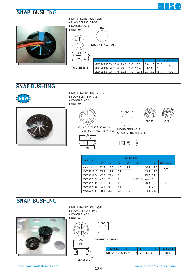#### SNAP BUSHING





- **◆** MATERIAL:NYLON 66(UL)
- **◆** FLAME CLASS :94V-2
- **◆** COLOR:BLACK



F THICKNESS: E

ØB

 $\cap$ 

ØC

MOUNTING HOLE

ØA

| <b>PART NO</b>                             |  |     |                        | PACKAGF |  |
|--------------------------------------------|--|-----|------------------------|---------|--|
| MOSSC1925S 25.4 29.0 6.0                   |  | 5.3 | $0.8^{\sim}1.0$   23.6 | 250     |  |
| MOSSC1925A 25.4 29.0 6.0 11.4              |  |     | $0.8^{\sim}3.0$   23.6 |         |  |
| MOSSC1319A 19.0 22.6 3.5 9.75 0.8~3.2 18.0 |  |     |                        | 500     |  |

#### SNAP BUSHING



- **◆** MATERIAL:NYLON 66 (UL)
- **◆** FLAME CLASS: 94V-2
- **◆** COLOR:BLACK
- **◆** UNIT:**㎜**







 $\angle$  For Largest Assembled Cable Diameter: G (Max.)



MOUMTING HOLE CHASSIS THICKNESS: E



|                |      | <b>DIMENSION</b> |     |      |                 |      |      |                |  |  |  |  |
|----------------|------|------------------|-----|------|-----------------|------|------|----------------|--|--|--|--|
| <b>PART NO</b> | Α    | B                | C   |      | Ε               | F    | G    | <b>PACKAGE</b> |  |  |  |  |
| MOSSC0712      | 12.7 | 14.7             | 1.0 | 9.8  |                 | 10.1 | 5.0  |                |  |  |  |  |
| MOSSC1115      | 15.9 | 17.9             | 0.7 |      |                 | 13.1 | 8.5  | 200            |  |  |  |  |
| MOSSC1422      | 22.2 | 24.2             | 0.5 |      |                 | 19.2 | 11.5 |                |  |  |  |  |
| MOSSC2027      | 27.8 | 29.8             | 0.5 | 10.3 | $0.8^{\sim}3.3$ | 24.6 | 16.0 |                |  |  |  |  |
| MOSSC2331      | 31.8 | 36.6             | 0.5 |      |                 | 28.3 | 19.0 | 100            |  |  |  |  |
| MOSSC2534      | 34.9 | 36.9             | 0.4 |      |                 | 31.1 | 20.0 |                |  |  |  |  |
| MOSSC2638      | 38.1 | 39.8             | 0.3 | 10.7 |                 | 34.1 | 21.0 |                |  |  |  |  |

#### SNAP BUSHING



- **◆** MATERIAL:NYLON 66(UL)
- **◆** FLAME CLASS :94V-2
- **◆** COLOR:BLACK
- **◆** UNIT:**㎜**



ØA

MOUNTING HOLE

|                                     |  |  | <b>FIPACK</b> |
|-------------------------------------|--|--|---------------|
| MOSSC1216 15.9 18.3 12.8 10.3 3.2 L |  |  |               |

THICKNESS: E

 $\Box$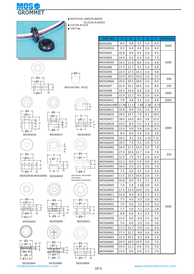



**◆** MATERIAL:NBR/RUBBER/

 SILICON RUBBER **◆** COLOR:BLACK

**◆** UNIT:**㎜**







MOUNTING HOLE



ØC

ØB

MOSGM16



MOSGM17





MOSGM49

 $\bigcap$ 

DE

E

ØC ØA

 $\emptyset$ B

ØA

ØC

Ø9 ØB ய

 $-4.5$ 

 $\overline{a}$ 

Dய

4

MOSGM38-MOSGM46 MOSGM39

 $\subset$ 



 $\emptyset$ B



MOSGM45





MOSGM64 MOSGM68 info@molvenofasteners.com www.molvenofasteners.com



B

ØC A

ØB MOSGM40-MOSGM44 MOSGM55<br>MOSGM60-MOSGM65





ØB

MOSGM53



 $\phi$ B-  $\phi$ MOSGM69



 $MOSGM5$  22.0 17.5 14.2 1.6 4.8 MOSGM6 22.0 19.0 16.0 1.6 5.5  $MOSGM6A$  25.0 19.5 18.0 1.6 6.0  $MOS$ GM7 31.4 25.2 18.5 1.6 8.0  $MOSGM8$  19.5 14.0 6.0 1.0 7.0  $MOSGM9$  15.9 12.7 9.5 1.6 6.4 MOSGM11 | 7.9 | 4.8 | 3.2 | 1.6 | 4.8 MOSGM15 10.8 8.0 5.0 1.6 4.5 MOSGM18 | 13.0 | 8.4 | 5.5 | 3.3 | 6.3 MOSGM30 13.3 9.0 5.8 2.0 6.2 1000 250 500 MOSGM42 27.0 20.8 12.7 1.6 7.8  $MOSGM43$  | 11.0 | 7.9 | 4.7 | 1.6 | 6.0  $9.5$  6.2 2.0 7.0 1.6 250 24.0 17.5 14.0 3.0 7.0 1000 2000 1.6 1.6 1.6 1.6 1.6 1.6 1.6 MOSGM38 10.4 8.1 3.6 1.15 7.15 MOSGM39  $\vert$  10.5  $\vert$  7.5  $\vert$  5.2  $\vert$  1.4  $\vert$  5.5 MOSGM14NP 17.46 11.11 7.94 2.38 8.73 MOSGM16 | 18.0 | 14.7 | 7.0 | 4.2 | 18.0  $MOSGM17$  18.0 14.6 8.0 3.8 12.0 GM35 MOS 8.0 6.0 3.4 1.0 3.0  $MOSGM44$   $|12.3$  8.0 5.0 4.0 8.0 1000  $MOSGM46$  | 7.5 | 6.0 | 3.5 | 1.0 | 5.0 MOSGM47 | 17.5 | 13.5 | 10.0 | 2.0 | 7.0 MOSGM48 | 10.8 | 8.0 | 4.5 | 1.2 | 4.5  $MOSGM49$  | 7.8 | 5.8 | 2.33 | 0.8 | 4.0 MOSGM50 | 17.5 | 12.0 | 10.0 | 2.0 | 6.8  $MOSGM51$  12.0 9.0 6.5 1.5 5.5 MOSGM53 7.5 4.5 3.5 2.0 4.0 MOSGM55 7.0 6.0 3.5 1.0 5.0 MOSGM57 | 8.8 | 6.0 | 4.1 | 2.5 | 7.0 MOSGM56 7.7 5.0 3.1 1.3 2.8 MOSGM58 | 11.0 | 9.0 | 6.0 | 2.5 | 6.6  $MOSGM60$   $7.0$  6.0 3.5 1.0 3.0 MOSGM61 | 17.5 | 12.7 | 9.0 | 1.6 | 6.8  $MOSGM62$  17.5 12.7 8.6 1.6 6.8  $MOSGM64$  12.9 10.5 9.3 0.8 2.4 MOSGM65 24.0 18.0 14.0 3.0 7.0 MOSGM68 | 15.0 | 12.1 | 6.0 | 3.0 | 5.0 MOSGM69 | 12.0 | 9.0 | 6.0 | 1.5 | 7.0

PART NO A BBCDDE

MOSGM2  $|10.8|8.0|4.5|1.6|4.5$  $MOSGM3$  | 14.4 | 9.5 | 6.3 | 1.6 | 7.0  $MOSGM3A$   $14.2$  11.0 8.0 1.6 4.8

6.4

6.4

1.6

1.6

1.6 1.6

1.6

1000

2000

PACKAGE

MOSGM1 | 8.0 | 4.8 | 3.2 MOSGM1A 9.5 6.4 4.0

E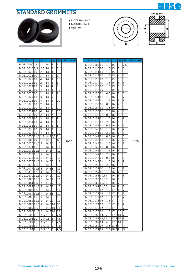



- **◆** MATERIAL:PVC
- **◆** COLOR:BLACK
- **◆** UNIT:**㎜**



| PART NO                    | A      | B                   | D              | d | H.       | <b>PACKAGE</b> | P      |
|----------------------------|--------|---------------------|----------------|---|----------|----------------|--------|
| MOS10000 11                |        | 1                   | 14             | 8 | 6        |                | M      |
| MOS100108,5                |        | 2,5                 | 14             | 6 | 7        |                | M      |
| MOS10020 <b>10</b>         |        | 2                   | 14             | 3 | 8        |                | M      |
| MOS1002110                 |        | 3                   | 14             | 3 | 9        |                | M      |
| MOS1002210                 |        | 4                   | 14             | 3 | 10       |                | M      |
| MOS1002310                 |        | $\overline{2}$      | 14             | 4 | 8        |                | M      |
| MOS1002410                 |        | 3                   | 14             | 4 | 9        |                | M      |
| MOS1002510                 |        | 4                   | 14             | 4 | 10       |                | M      |
| MOS1002610                 |        | 2                   | 14             | 5 | 8        |                | M      |
| MOS1002710                 |        | 3                   | 14             | 5 | 9        |                | M      |
| MOS1002810                 |        | 4                   | 14             | 5 | 10       |                | M      |
| MOS1002910                 |        | $\overline{2}$      | 14             | 6 | 8        |                | M      |
| MOS1003010                 |        | 3                   | 14             | 6 | 9        |                | M      |
| MOS1003110                 |        | 4                   | 14             | 6 | 10       |                | M      |
| MOS1003210                 |        | 2                   | 14             | 7 | 8        |                | M      |
| MOS1003310                 |        | 3                   | 14             | 7 | 9        |                | M      |
| MOS1003410                 |        | 4                   | 14             | 7 | 10       |                | M      |
| MOS1003510                 |        | $\overline{2}$      | 14             | 8 | 8        |                | M      |
| MOS1003610                 |        | 3                   | 14             | 8 | 9        |                | M      |
| MOS1003710                 |        | 4                   | 14             | 8 | 10       |                | M      |
| MOS10050 11,5 1,2          |        |                     | $14,5$ 8,5     |   | 8        |                | M      |
| MOS1006010                 |        | 1,5                 | 14,58          |   | 6        | 1000           | M      |
| MOS1007011                 | ,5     | $\overline{2}$      | 14,54          |   | 10       |                | M      |
| MOS1007111,                | 5      | $\overline{3}$      | 14,54          |   | 11       |                | M      |
| MOS1007211,5               |        | 4                   | $14,5$ 4       |   | 12       |                | M      |
| MOS1007311,5               |        | 2                   | 14,55          |   | 10       |                | M      |
| MOS1007411                 | 5      | 3                   | <u>14,55</u>   |   | 11       |                | M      |
| MOS1007511,                | 5<br>5 | 4<br>$\overline{2}$ | 14,55<br>14,56 |   | 12       |                | M      |
| MOS1007611,<br>MOS1007711, | 5      | 3                   | 14,56          |   | 10       |                | M<br>M |
| MOS1007811                 | 5      | 4                   | 14,56          |   | 11<br>12 |                | M      |
| MOS1007911,5               |        | 2                   | 14,57          |   | 10       |                | M      |
| MOS1008011,                | 5      | 3                   | 14,57          |   | 11       |                | M      |
| MOS1008111,                | 5      | 4                   | 14,57          |   | 12       |                | M      |
| MOS1008211                 | 5      | $\overline{2}$      | 14,58          |   | 10       |                | M      |
| MOS1008311,5               |        | 3                   | 14,58          |   | 11       |                | M      |
| MOS10084 11,5              |        | 4                   | 14,58          |   | 12       |                | M      |
| MOS10085 11,5              |        | 2                   | 14,59          |   | 10       |                | M      |
| MOS1008611                 | 5      | $\overline{3}$      | 14,59          |   | 11       |                | M      |
| MOS10088 11,5              |        | $\overline{2}$      | 14,5 10        |   | 10       |                | M      |
| MOS10089 11,5              |        | $\overline{3}$      | $14,5$ 10      |   | 11       |                | M      |
| MOS10090 11,5 4            |        |                     | 14,5 10        |   | 12       |                | M      |
| MOS1010011                 |        | $\overline{1,5}$    | 15             | 4 | 7,5      |                | M      |
| MOS1010111                 |        | $1,5$ 15            |                | 5 | 7,5      |                | M      |
| MOS1010211                 |        | $1,5$ 15            |                | 6 | 7,5      |                | MO     |
| MOS1010311                 |        | 1, 5                | 15             | 7 | 7,5      |                | M      |
| MOS1010411                 |        | 1,5                 | 15             | 8 | 7,5      |                | M      |

| 6<br>$1,5$ 15<br>9<br>7,5<br>MOS10105 <b> </b> 11<br>$\overline{2}$<br>7<br>1,5 15<br>6<br>MOS10110 <b> </b> 10<br>8<br>3<br>$1,5$   15<br>MOS10111 <b> </b> 10<br>6<br>9<br>4<br>6<br>MOS10112 <b> </b> 10<br>$1,5$ 15<br>5<br>6<br>10<br>MOS10113 <b>1</b> 0<br>1,5   15<br>6<br>8<br>MOS10114 <b>1</b> 0<br>15<br>6<br>1,5<br>9<br>6<br>1,5<br>7<br>MOS10115 <b> </b> 10<br>15<br>8<br>$1,5$ 15<br>6<br>10<br>MOS10116 <b> </b> 10<br>8<br>0,5 16<br>3<br>6<br>MOS10130 <b> </b> 11<br>9<br>3<br>MOS10131 <b> </b> 11<br>$1,5$ 16<br>7<br>MOS1013211<br>3<br>8<br>2,5   16<br>10<br>6<br>8<br>MOS10133 <b>1</b> 1<br>0, 5<br>16<br>4<br>9<br>7<br>1,5<br>4<br>MOS10134 <b> </b> 11<br>16<br>8<br>MOS10135 <b>1</b> 1<br>$2,5$ 16<br>4<br>10<br>5<br>8<br>0,5 16<br>6<br>MOS10136 <b>1</b> 1<br>5<br>9<br>MOS10137 <b> </b> 11<br>$1,5$ 16<br>7<br>5<br>8<br>10<br>MOS10138 <b>1</b> 1<br>2,5 16<br>6<br>MOS10139 <b>1</b> 1<br>0,5 16<br>6<br>8<br>9<br>7<br>6<br>MOS10140 <b>l</b> 11<br>1,5<br>16<br>6<br>8<br>10<br>$2,5$ 16<br>MOS10141 <b> </b> 11<br>7<br>6<br>MOS10142 <b> </b> 11<br>0,5   16<br>,5<br>8<br>7<br>6<br>MOS10143 <b>l</b> 11<br>1,5 16<br>7<br>1000<br>1000<br>MOS10144 <sup>11</sup><br>2,5<br>8<br>10<br>16<br>7<br>0,5<br>6<br>MOS1014511<br>16<br>8<br>11<br>7<br>1,5<br>8<br>12<br>MOS10146 <b>1</b> 1<br>16<br>8<br>8<br>10<br>MOS10147 <b>1</b> 1<br>$2,5$ 16<br>9<br>11<br>0,5<br>6<br>MOS10148 <b>1</b> 1<br>16<br>$1,5$ 16<br>9<br>12<br>MOS10149 <b> </b> 11<br>7<br>8<br>2,5<br>9<br>10<br>MOS10150 <b> </b> 11<br>16<br>7<br>7<br>5<br>16<br>11<br>MOS10151 <b> </b> 10<br>1,<br>8<br>MOS10157 11,5<br>13<br>4<br>12<br>16<br>MOS10158 11,53<br>5<br>8<br>10<br>16<br>MOS10159 11,53<br>6<br>8<br>11<br>16<br>8<br>7<br>MOS10160 11,53<br>16<br>12<br>З<br>8<br>8<br>10<br>MOS10161 <b>1</b> 1,5<br>16<br>11<br>MOS10170 <b>1</b> 2<br>17<br>4<br>7<br>1,5<br>5<br>MOS10171<br>12<br>1,5<br>17<br>7<br>12<br>10<br>MOS1017212<br>1,5<br>6<br>7<br>17<br>$1,5$ 17<br>$\overline{7}$<br>17<br>11<br>MOS1017312<br>MOS1017412<br>$1,5$ 17<br>8<br>10<br>0.<br>7<br>9<br>$1,5$ 17<br>MOS1017512<br>11<br>7<br>0<br>12<br>MOS1017612<br>$1,5$ 17<br>10<br>7<br>0<br>17,5 10<br>$\overline{7,5}$<br>MOS1018013,52<br>7<br>17,5 10<br>7,5<br>MOS1018113,53<br>8<br>7,5<br>$17,5$ 10<br>MOS10182 13,54<br>9<br>7,5<br>MOS1019015<br>$1,5$ 18,57<br>8<br>7,5<br>MOS1019115<br>2,5<br>9<br>$18,5$ 7 |   |   |                |         |   |   |   |   |   |                |
|---------------------------------------------------------------------------------------------------------------------------------------------------------------------------------------------------------------------------------------------------------------------------------------------------------------------------------------------------------------------------------------------------------------------------------------------------------------------------------------------------------------------------------------------------------------------------------------------------------------------------------------------------------------------------------------------------------------------------------------------------------------------------------------------------------------------------------------------------------------------------------------------------------------------------------------------------------------------------------------------------------------------------------------------------------------------------------------------------------------------------------------------------------------------------------------------------------------------------------------------------------------------------------------------------------------------------------------------------------------------------------------------------------------------------------------------------------------------------------------------------------------------------------------------------------------------------------------------------------------------------------------------------------------------------------------------------------------------------------------------------------------------------------------------------------------------------------------------------------------------------------------------------------------------------------------------------------------------------------------------------------------------------------------------------------------------------------------------------------------------------------------------------------------------------------------------------------------------------------------------------------------------------------------------------------------------------------------------------------------------------------------------------------------------------------|---|---|----------------|---------|---|---|---|---|---|----------------|
|                                                                                                                                                                                                                                                                                                                                                                                                                                                                                                                                                                                                                                                                                                                                                                                                                                                                                                                                                                                                                                                                                                                                                                                                                                                                                                                                                                                                                                                                                                                                                                                                                                                                                                                                                                                                                                                                                                                                                                                                                                                                                                                                                                                                                                                                                                                                                                                                                                 | d | н | <b>PACKAGE</b> | PART NO | Α | B | D | d | н | <b>PACKAGE</b> |
|                                                                                                                                                                                                                                                                                                                                                                                                                                                                                                                                                                                                                                                                                                                                                                                                                                                                                                                                                                                                                                                                                                                                                                                                                                                                                                                                                                                                                                                                                                                                                                                                                                                                                                                                                                                                                                                                                                                                                                                                                                                                                                                                                                                                                                                                                                                                                                                                                                 |   |   |                |         |   |   |   |   |   |                |
|                                                                                                                                                                                                                                                                                                                                                                                                                                                                                                                                                                                                                                                                                                                                                                                                                                                                                                                                                                                                                                                                                                                                                                                                                                                                                                                                                                                                                                                                                                                                                                                                                                                                                                                                                                                                                                                                                                                                                                                                                                                                                                                                                                                                                                                                                                                                                                                                                                 |   |   |                |         |   |   |   |   |   |                |
|                                                                                                                                                                                                                                                                                                                                                                                                                                                                                                                                                                                                                                                                                                                                                                                                                                                                                                                                                                                                                                                                                                                                                                                                                                                                                                                                                                                                                                                                                                                                                                                                                                                                                                                                                                                                                                                                                                                                                                                                                                                                                                                                                                                                                                                                                                                                                                                                                                 |   |   |                |         |   |   |   |   |   |                |
|                                                                                                                                                                                                                                                                                                                                                                                                                                                                                                                                                                                                                                                                                                                                                                                                                                                                                                                                                                                                                                                                                                                                                                                                                                                                                                                                                                                                                                                                                                                                                                                                                                                                                                                                                                                                                                                                                                                                                                                                                                                                                                                                                                                                                                                                                                                                                                                                                                 |   |   |                |         |   |   |   |   |   |                |
|                                                                                                                                                                                                                                                                                                                                                                                                                                                                                                                                                                                                                                                                                                                                                                                                                                                                                                                                                                                                                                                                                                                                                                                                                                                                                                                                                                                                                                                                                                                                                                                                                                                                                                                                                                                                                                                                                                                                                                                                                                                                                                                                                                                                                                                                                                                                                                                                                                 |   |   |                |         |   |   |   |   |   |                |
|                                                                                                                                                                                                                                                                                                                                                                                                                                                                                                                                                                                                                                                                                                                                                                                                                                                                                                                                                                                                                                                                                                                                                                                                                                                                                                                                                                                                                                                                                                                                                                                                                                                                                                                                                                                                                                                                                                                                                                                                                                                                                                                                                                                                                                                                                                                                                                                                                                 |   |   |                |         |   |   |   |   |   |                |
|                                                                                                                                                                                                                                                                                                                                                                                                                                                                                                                                                                                                                                                                                                                                                                                                                                                                                                                                                                                                                                                                                                                                                                                                                                                                                                                                                                                                                                                                                                                                                                                                                                                                                                                                                                                                                                                                                                                                                                                                                                                                                                                                                                                                                                                                                                                                                                                                                                 |   |   |                |         |   |   |   |   |   |                |
|                                                                                                                                                                                                                                                                                                                                                                                                                                                                                                                                                                                                                                                                                                                                                                                                                                                                                                                                                                                                                                                                                                                                                                                                                                                                                                                                                                                                                                                                                                                                                                                                                                                                                                                                                                                                                                                                                                                                                                                                                                                                                                                                                                                                                                                                                                                                                                                                                                 |   |   |                |         |   |   |   |   |   |                |
|                                                                                                                                                                                                                                                                                                                                                                                                                                                                                                                                                                                                                                                                                                                                                                                                                                                                                                                                                                                                                                                                                                                                                                                                                                                                                                                                                                                                                                                                                                                                                                                                                                                                                                                                                                                                                                                                                                                                                                                                                                                                                                                                                                                                                                                                                                                                                                                                                                 |   |   |                |         |   |   |   |   |   |                |
|                                                                                                                                                                                                                                                                                                                                                                                                                                                                                                                                                                                                                                                                                                                                                                                                                                                                                                                                                                                                                                                                                                                                                                                                                                                                                                                                                                                                                                                                                                                                                                                                                                                                                                                                                                                                                                                                                                                                                                                                                                                                                                                                                                                                                                                                                                                                                                                                                                 |   |   |                |         |   |   |   |   |   |                |
|                                                                                                                                                                                                                                                                                                                                                                                                                                                                                                                                                                                                                                                                                                                                                                                                                                                                                                                                                                                                                                                                                                                                                                                                                                                                                                                                                                                                                                                                                                                                                                                                                                                                                                                                                                                                                                                                                                                                                                                                                                                                                                                                                                                                                                                                                                                                                                                                                                 |   |   |                |         |   |   |   |   |   |                |
|                                                                                                                                                                                                                                                                                                                                                                                                                                                                                                                                                                                                                                                                                                                                                                                                                                                                                                                                                                                                                                                                                                                                                                                                                                                                                                                                                                                                                                                                                                                                                                                                                                                                                                                                                                                                                                                                                                                                                                                                                                                                                                                                                                                                                                                                                                                                                                                                                                 |   |   |                |         |   |   |   |   |   |                |
|                                                                                                                                                                                                                                                                                                                                                                                                                                                                                                                                                                                                                                                                                                                                                                                                                                                                                                                                                                                                                                                                                                                                                                                                                                                                                                                                                                                                                                                                                                                                                                                                                                                                                                                                                                                                                                                                                                                                                                                                                                                                                                                                                                                                                                                                                                                                                                                                                                 |   |   |                |         |   |   |   |   |   |                |
|                                                                                                                                                                                                                                                                                                                                                                                                                                                                                                                                                                                                                                                                                                                                                                                                                                                                                                                                                                                                                                                                                                                                                                                                                                                                                                                                                                                                                                                                                                                                                                                                                                                                                                                                                                                                                                                                                                                                                                                                                                                                                                                                                                                                                                                                                                                                                                                                                                 |   |   |                |         |   |   |   |   |   |                |
|                                                                                                                                                                                                                                                                                                                                                                                                                                                                                                                                                                                                                                                                                                                                                                                                                                                                                                                                                                                                                                                                                                                                                                                                                                                                                                                                                                                                                                                                                                                                                                                                                                                                                                                                                                                                                                                                                                                                                                                                                                                                                                                                                                                                                                                                                                                                                                                                                                 |   |   |                |         |   |   |   |   |   |                |
|                                                                                                                                                                                                                                                                                                                                                                                                                                                                                                                                                                                                                                                                                                                                                                                                                                                                                                                                                                                                                                                                                                                                                                                                                                                                                                                                                                                                                                                                                                                                                                                                                                                                                                                                                                                                                                                                                                                                                                                                                                                                                                                                                                                                                                                                                                                                                                                                                                 |   |   |                |         |   |   |   |   |   |                |
|                                                                                                                                                                                                                                                                                                                                                                                                                                                                                                                                                                                                                                                                                                                                                                                                                                                                                                                                                                                                                                                                                                                                                                                                                                                                                                                                                                                                                                                                                                                                                                                                                                                                                                                                                                                                                                                                                                                                                                                                                                                                                                                                                                                                                                                                                                                                                                                                                                 |   |   |                |         |   |   |   |   |   |                |
|                                                                                                                                                                                                                                                                                                                                                                                                                                                                                                                                                                                                                                                                                                                                                                                                                                                                                                                                                                                                                                                                                                                                                                                                                                                                                                                                                                                                                                                                                                                                                                                                                                                                                                                                                                                                                                                                                                                                                                                                                                                                                                                                                                                                                                                                                                                                                                                                                                 |   |   |                |         |   |   |   |   |   |                |
|                                                                                                                                                                                                                                                                                                                                                                                                                                                                                                                                                                                                                                                                                                                                                                                                                                                                                                                                                                                                                                                                                                                                                                                                                                                                                                                                                                                                                                                                                                                                                                                                                                                                                                                                                                                                                                                                                                                                                                                                                                                                                                                                                                                                                                                                                                                                                                                                                                 |   |   |                |         |   |   |   |   |   |                |
|                                                                                                                                                                                                                                                                                                                                                                                                                                                                                                                                                                                                                                                                                                                                                                                                                                                                                                                                                                                                                                                                                                                                                                                                                                                                                                                                                                                                                                                                                                                                                                                                                                                                                                                                                                                                                                                                                                                                                                                                                                                                                                                                                                                                                                                                                                                                                                                                                                 |   |   |                |         |   |   |   |   |   |                |
|                                                                                                                                                                                                                                                                                                                                                                                                                                                                                                                                                                                                                                                                                                                                                                                                                                                                                                                                                                                                                                                                                                                                                                                                                                                                                                                                                                                                                                                                                                                                                                                                                                                                                                                                                                                                                                                                                                                                                                                                                                                                                                                                                                                                                                                                                                                                                                                                                                 |   |   |                |         |   |   |   |   |   |                |
|                                                                                                                                                                                                                                                                                                                                                                                                                                                                                                                                                                                                                                                                                                                                                                                                                                                                                                                                                                                                                                                                                                                                                                                                                                                                                                                                                                                                                                                                                                                                                                                                                                                                                                                                                                                                                                                                                                                                                                                                                                                                                                                                                                                                                                                                                                                                                                                                                                 |   |   |                |         |   |   |   |   |   |                |
|                                                                                                                                                                                                                                                                                                                                                                                                                                                                                                                                                                                                                                                                                                                                                                                                                                                                                                                                                                                                                                                                                                                                                                                                                                                                                                                                                                                                                                                                                                                                                                                                                                                                                                                                                                                                                                                                                                                                                                                                                                                                                                                                                                                                                                                                                                                                                                                                                                 |   |   |                |         |   |   |   |   |   |                |
|                                                                                                                                                                                                                                                                                                                                                                                                                                                                                                                                                                                                                                                                                                                                                                                                                                                                                                                                                                                                                                                                                                                                                                                                                                                                                                                                                                                                                                                                                                                                                                                                                                                                                                                                                                                                                                                                                                                                                                                                                                                                                                                                                                                                                                                                                                                                                                                                                                 |   |   |                |         |   |   |   |   |   |                |
|                                                                                                                                                                                                                                                                                                                                                                                                                                                                                                                                                                                                                                                                                                                                                                                                                                                                                                                                                                                                                                                                                                                                                                                                                                                                                                                                                                                                                                                                                                                                                                                                                                                                                                                                                                                                                                                                                                                                                                                                                                                                                                                                                                                                                                                                                                                                                                                                                                 |   |   |                |         |   |   |   |   |   |                |
|                                                                                                                                                                                                                                                                                                                                                                                                                                                                                                                                                                                                                                                                                                                                                                                                                                                                                                                                                                                                                                                                                                                                                                                                                                                                                                                                                                                                                                                                                                                                                                                                                                                                                                                                                                                                                                                                                                                                                                                                                                                                                                                                                                                                                                                                                                                                                                                                                                 |   |   |                |         |   |   |   |   |   |                |
|                                                                                                                                                                                                                                                                                                                                                                                                                                                                                                                                                                                                                                                                                                                                                                                                                                                                                                                                                                                                                                                                                                                                                                                                                                                                                                                                                                                                                                                                                                                                                                                                                                                                                                                                                                                                                                                                                                                                                                                                                                                                                                                                                                                                                                                                                                                                                                                                                                 |   |   |                |         |   |   |   |   |   |                |
|                                                                                                                                                                                                                                                                                                                                                                                                                                                                                                                                                                                                                                                                                                                                                                                                                                                                                                                                                                                                                                                                                                                                                                                                                                                                                                                                                                                                                                                                                                                                                                                                                                                                                                                                                                                                                                                                                                                                                                                                                                                                                                                                                                                                                                                                                                                                                                                                                                 |   |   |                |         |   |   |   |   |   |                |
|                                                                                                                                                                                                                                                                                                                                                                                                                                                                                                                                                                                                                                                                                                                                                                                                                                                                                                                                                                                                                                                                                                                                                                                                                                                                                                                                                                                                                                                                                                                                                                                                                                                                                                                                                                                                                                                                                                                                                                                                                                                                                                                                                                                                                                                                                                                                                                                                                                 |   |   |                |         |   |   |   |   |   |                |
|                                                                                                                                                                                                                                                                                                                                                                                                                                                                                                                                                                                                                                                                                                                                                                                                                                                                                                                                                                                                                                                                                                                                                                                                                                                                                                                                                                                                                                                                                                                                                                                                                                                                                                                                                                                                                                                                                                                                                                                                                                                                                                                                                                                                                                                                                                                                                                                                                                 |   |   |                |         |   |   |   |   |   |                |
|                                                                                                                                                                                                                                                                                                                                                                                                                                                                                                                                                                                                                                                                                                                                                                                                                                                                                                                                                                                                                                                                                                                                                                                                                                                                                                                                                                                                                                                                                                                                                                                                                                                                                                                                                                                                                                                                                                                                                                                                                                                                                                                                                                                                                                                                                                                                                                                                                                 |   |   |                |         |   |   |   |   |   |                |
|                                                                                                                                                                                                                                                                                                                                                                                                                                                                                                                                                                                                                                                                                                                                                                                                                                                                                                                                                                                                                                                                                                                                                                                                                                                                                                                                                                                                                                                                                                                                                                                                                                                                                                                                                                                                                                                                                                                                                                                                                                                                                                                                                                                                                                                                                                                                                                                                                                 |   |   |                |         |   |   |   |   |   |                |
|                                                                                                                                                                                                                                                                                                                                                                                                                                                                                                                                                                                                                                                                                                                                                                                                                                                                                                                                                                                                                                                                                                                                                                                                                                                                                                                                                                                                                                                                                                                                                                                                                                                                                                                                                                                                                                                                                                                                                                                                                                                                                                                                                                                                                                                                                                                                                                                                                                 |   |   |                |         |   |   |   |   |   |                |
|                                                                                                                                                                                                                                                                                                                                                                                                                                                                                                                                                                                                                                                                                                                                                                                                                                                                                                                                                                                                                                                                                                                                                                                                                                                                                                                                                                                                                                                                                                                                                                                                                                                                                                                                                                                                                                                                                                                                                                                                                                                                                                                                                                                                                                                                                                                                                                                                                                 |   |   |                |         |   |   |   |   |   |                |
|                                                                                                                                                                                                                                                                                                                                                                                                                                                                                                                                                                                                                                                                                                                                                                                                                                                                                                                                                                                                                                                                                                                                                                                                                                                                                                                                                                                                                                                                                                                                                                                                                                                                                                                                                                                                                                                                                                                                                                                                                                                                                                                                                                                                                                                                                                                                                                                                                                 |   |   |                |         |   |   |   |   |   |                |
|                                                                                                                                                                                                                                                                                                                                                                                                                                                                                                                                                                                                                                                                                                                                                                                                                                                                                                                                                                                                                                                                                                                                                                                                                                                                                                                                                                                                                                                                                                                                                                                                                                                                                                                                                                                                                                                                                                                                                                                                                                                                                                                                                                                                                                                                                                                                                                                                                                 |   |   |                |         |   |   |   |   |   |                |
|                                                                                                                                                                                                                                                                                                                                                                                                                                                                                                                                                                                                                                                                                                                                                                                                                                                                                                                                                                                                                                                                                                                                                                                                                                                                                                                                                                                                                                                                                                                                                                                                                                                                                                                                                                                                                                                                                                                                                                                                                                                                                                                                                                                                                                                                                                                                                                                                                                 |   |   |                |         |   |   |   |   |   |                |
|                                                                                                                                                                                                                                                                                                                                                                                                                                                                                                                                                                                                                                                                                                                                                                                                                                                                                                                                                                                                                                                                                                                                                                                                                                                                                                                                                                                                                                                                                                                                                                                                                                                                                                                                                                                                                                                                                                                                                                                                                                                                                                                                                                                                                                                                                                                                                                                                                                 |   |   |                |         |   |   |   |   |   |                |
|                                                                                                                                                                                                                                                                                                                                                                                                                                                                                                                                                                                                                                                                                                                                                                                                                                                                                                                                                                                                                                                                                                                                                                                                                                                                                                                                                                                                                                                                                                                                                                                                                                                                                                                                                                                                                                                                                                                                                                                                                                                                                                                                                                                                                                                                                                                                                                                                                                 |   |   |                |         |   |   |   |   |   |                |
|                                                                                                                                                                                                                                                                                                                                                                                                                                                                                                                                                                                                                                                                                                                                                                                                                                                                                                                                                                                                                                                                                                                                                                                                                                                                                                                                                                                                                                                                                                                                                                                                                                                                                                                                                                                                                                                                                                                                                                                                                                                                                                                                                                                                                                                                                                                                                                                                                                 |   |   |                |         |   |   |   |   |   |                |
|                                                                                                                                                                                                                                                                                                                                                                                                                                                                                                                                                                                                                                                                                                                                                                                                                                                                                                                                                                                                                                                                                                                                                                                                                                                                                                                                                                                                                                                                                                                                                                                                                                                                                                                                                                                                                                                                                                                                                                                                                                                                                                                                                                                                                                                                                                                                                                                                                                 |   |   |                |         |   |   |   |   |   |                |
|                                                                                                                                                                                                                                                                                                                                                                                                                                                                                                                                                                                                                                                                                                                                                                                                                                                                                                                                                                                                                                                                                                                                                                                                                                                                                                                                                                                                                                                                                                                                                                                                                                                                                                                                                                                                                                                                                                                                                                                                                                                                                                                                                                                                                                                                                                                                                                                                                                 |   |   |                |         |   |   |   |   |   |                |
|                                                                                                                                                                                                                                                                                                                                                                                                                                                                                                                                                                                                                                                                                                                                                                                                                                                                                                                                                                                                                                                                                                                                                                                                                                                                                                                                                                                                                                                                                                                                                                                                                                                                                                                                                                                                                                                                                                                                                                                                                                                                                                                                                                                                                                                                                                                                                                                                                                 |   |   |                |         |   |   |   |   |   |                |
|                                                                                                                                                                                                                                                                                                                                                                                                                                                                                                                                                                                                                                                                                                                                                                                                                                                                                                                                                                                                                                                                                                                                                                                                                                                                                                                                                                                                                                                                                                                                                                                                                                                                                                                                                                                                                                                                                                                                                                                                                                                                                                                                                                                                                                                                                                                                                                                                                                 |   |   |                |         |   |   |   |   |   |                |
|                                                                                                                                                                                                                                                                                                                                                                                                                                                                                                                                                                                                                                                                                                                                                                                                                                                                                                                                                                                                                                                                                                                                                                                                                                                                                                                                                                                                                                                                                                                                                                                                                                                                                                                                                                                                                                                                                                                                                                                                                                                                                                                                                                                                                                                                                                                                                                                                                                 |   |   |                |         |   |   |   |   |   |                |
|                                                                                                                                                                                                                                                                                                                                                                                                                                                                                                                                                                                                                                                                                                                                                                                                                                                                                                                                                                                                                                                                                                                                                                                                                                                                                                                                                                                                                                                                                                                                                                                                                                                                                                                                                                                                                                                                                                                                                                                                                                                                                                                                                                                                                                                                                                                                                                                                                                 |   |   |                |         |   |   |   |   |   |                |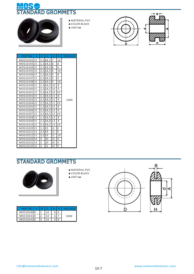



- **◆** MATERIAL:PVC
- **◆** COLOR:BLACK
- **◆** UNIT:**㎜**



| <b>PART NO</b> | $\overline{A}$ | B              | D             | d               | н  | <b>PACKAGE</b> |
|----------------|----------------|----------------|---------------|-----------------|----|----------------|
| MOS1019215     |                |                | $3,5$ 18,5    | 7               | 10 |                |
| MOS1019315     |                |                | 1,5 18,5 8    |                 | 8  |                |
| MOS1019415     |                |                | $2,5$ 18,5    | l8              | 9  |                |
| MOS10195115    |                |                | $3,5$ 18,5    | l8              | 10 |                |
| MOS1019615     |                |                | 1,5 18,5 9    |                 | 8  |                |
| MOS10197115    |                |                | 2,5 18,5 9    |                 | 9  |                |
| MOS1019815     |                |                | $3,5$ 18,5 9  |                 | 10 |                |
| MOS1019915     |                |                | 1,5 18,5 10   |                 | 8  |                |
| MOS1020015     |                |                | 2,5 18,5 10   |                 | 9  |                |
| MOS1020115     |                |                | 3,5 18,5 10   |                 | 10 |                |
| MOS1020215     |                |                | 1,5 18,5 11   |                 | 8  |                |
| MOS1020315     |                |                | 2,5 18,5 11   |                 | 9  | 1000           |
| MOS1020415     |                |                | 3,5 18,5 11   |                 | 10 |                |
| MOS10205115    |                |                | 1,5 18,5 12   |                 | 8  |                |
| MOS1020615     |                |                | 2,5 18,5 12   |                 | 9  |                |
| MOS1020715     |                |                | 3,5 18,5 12   |                 | 10 |                |
| MOS1020815     |                |                | 1,5 18,5 13   |                 | 8  |                |
| MOS1020915     |                |                | 2,5 18,8 13   |                 | 9  |                |
| MOS1021015     |                |                | $3,5$ 18,5 13 |                 | 10 |                |
| MOS1022015     |                | 1,5 19         |               | 12              | 8  |                |
| MOS1022115     |                | 2,5 19         |               | 12              | 9  |                |
| MOS1022215     |                | 3,5 19         |               | 12              | 10 |                |
| MOS1023014     |                | $\overline{3}$ | 20            | $\overline{12}$ | 9  |                |
| MOS10231114    |                | 3              | 20            | 10              | 9  |                |
| MOS1023515     |                | 3              | 22            | 10              | 9  |                |



- **◆** MATERIAL:PVC
- **◆** COLOR:BLACK **◆** UNIT:**㎜**





| <b>PART NO</b> |    |  |  | PACKAGE |  |  |
|----------------|----|--|--|---------|--|--|
| MOS102408      |    |  |  | 1000    |  |  |
| MOS102418      | ົາ |  |  |         |  |  |
| MOS102428      | 3  |  |  |         |  |  |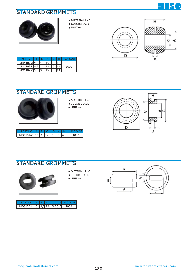



- **◆** MATERIAL:PVC
- **◆** COLOR:BLACK
- **◆** UNIT:**㎜**





| <b>PART NO</b> |    |  | PACKAGE |  |  |
|----------------|----|--|---------|--|--|
| MOS102509,5 1  |    |  |         |  |  |
| MOS102519,5 2  |    |  | 1000    |  |  |
| MOS102529.5    | I٩ |  |         |  |  |

#### STANDARD GROMMETS



- **◆** MATERIAL:PVC
- **◆** COLOR:BLACK **◆** UNIT:**㎜**



|                       |  |  |  | <b>PALKA</b> |
|-----------------------|--|--|--|--------------|
| MOS10260 10 2 12 13 7 |  |  |  |              |



- **◆** MATERIAL:PVC
- **◆** COLOR:BLACK
- **◆** UNIT:**㎜**



| PART NO   A              |  |  | B D d d1 PACKAGE |
|--------------------------|--|--|------------------|
| MOS1268 6 1,5 10 5,5 5x2 |  |  |                  |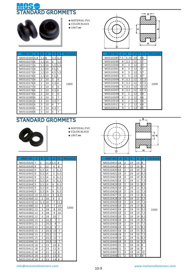



- **◆** MATERIAL:PVC
- **◆** COLOR:BLACK **◆** UNIT:**㎜**



MOS10311 8 2 12 66<br>MOS10312 9 1 12 65 MOS10312 9 1 1 12 6 5

MOS10310

 $N$ O  $A$   $B$   $D$   $d$   $H$   $P$ ACKAGE

1000

| <b>PART NO</b> | А | B              | D  | d     | н       | PACKAGE |
|----------------|---|----------------|----|-------|---------|---------|
| MOS102654,8    |   | 1.68           |    | 3.2   | 6,4     |         |
| MOS102706      |   | 1.5 10         |    | 3     | 5,5     |         |
| MOS102716      |   | 1,5 10         |    |       | 3,515,5 |         |
| MOS10272       | 6 | 1,510          |    | 45,15 |         |         |
| MOS102736      |   | 1,5 10         |    | 4,51  | 5,5     |         |
| MOS102746      |   | 1,510          |    | 55.   | 5       |         |
| MOS102756      |   | 2              | 10 | 3     | 6       |         |
| MOS102766      |   | 2              | 10 | 3,5   | 6       | 1000    |
| MOS102776      |   | 2              | 10 | 4     | 6       |         |
| MOS102786      |   | 2              | 10 | 4,5   | 6       |         |
| MOS102796      |   | $\overline{2}$ | 10 | 5     | 6       |         |
| MOS102806      |   | 3              | 10 | 3     | 7       |         |
| MOS102816      |   | 3              | 10 | 3,5   | 7       |         |
| MOS10282       | 6 | 3              | 10 | 4     | 7       |         |
| MOS102836      |   | 3              | 10 | 4,5   | 7       |         |
| MOS102848      |   | 3              | 10 | 5     | 7       |         |



- **◆** MATERIAL:PVC
- **◆** COLOR:BLACK
- **◆** UNIT:**㎜**



| PART NO  | A  | B              | D          | d  | н              | PACKAGE |
|----------|----|----------------|------------|----|----------------|---------|
| MOS10320 | 7  | $\mathbf{1}$   | $11.5$ 3.5 |    | 8              |         |
| MOS10330 | 8  | 1              | 12         | 4  | 8              |         |
| MOS10340 | 9  | 3,5            | 14         | 2  | 6,5            |         |
| MOS10341 | 9  | 3,5            | 14         | 3  | 6, 5           |         |
| MOS10342 | 9  | 3,5            | 14         | 4  | 6,5            |         |
| MOS10343 | 9  | 3,5            | 14         | 5  | 6, 5           |         |
| MOS10344 | 9  | 3,5            | 14         | 6  | 6, 5           |         |
| MOS10345 | 9  | 3,5            | 14         | 7  | 6,5            |         |
| MOS10346 | 9  | 3,5            | 14         | 8  | 6,5            |         |
| MOS10350 | 10 | $2,5$ 14       |            | 8  | 8,5            |         |
| MOS10360 | 12 | 2              | 16         | 9  | 6              |         |
| MOS10370 | 12 | 1,5            | 18         | 7  | 11,5           |         |
| MOS10380 | 12 | 3              | 18         | 7  | 10             | 1000    |
| MOS10381 | 12 | 3              | 18         | 8  | 10             |         |
| MOS10382 | 12 | 3              | 18         | 9  | 10             |         |
| MOS10383 | 12 | 3              | 18         | 10 | 7              |         |
| MOS10390 | 15 | 2              | 20,5       | 7  | 7              |         |
| MOS10391 | 15 | $\overline{2}$ | 20,5       | 8  | 7              |         |
| MOS10392 | 15 | $\overline{2}$ | 20,5       | 9  | 7              |         |
| MOS10393 | 15 | $\overline{2}$ | 20,5       | 10 | 7              |         |
| MOS10394 | 15 | $\overline{2}$ | 20,5       | 11 | $\overline{7}$ |         |
| MOS10395 | 15 | $\overline{2}$ | 20,5       | 12 | $\overline{7}$ |         |
| MOS10396 | 15 | $\overline{2}$ | 20.5       | 13 | $\overline{7}$ |         |
| MOS10410 | 18 | 2              | 23         | 10 | 8              |         |
| MOS10411 | 18 | $\overline{2}$ | 23         | 11 | 8              |         |
| MOS10412 | 18 | $\overline{2}$ | 23         | 12 | 8              |         |
| MOS10413 | 18 | $\overline{2}$ | 23         | 13 | 8              |         |
| MOS10414 | 18 | 2              | 23         | 14 | 8              |         |

| PART NO     | - A | B              | D  | d     | H   | <b>PACKAGE</b> |
|-------------|-----|----------------|----|-------|-----|----------------|
| MOS1041518  |     | 2              | 23 | 15    | 8   |                |
| MOS1041618  |     | 2              | 23 | 16    | 8   |                |
| MOS10420118 |     | $\overline{2}$ | 24 | 10    | 7,5 |                |
| MOS10421118 |     | 3              | 24 | 10    | 8,5 |                |
| MOS1042218  |     | 4              | 24 | 10    | 9,5 |                |
| MOS1042318  |     | $\overline{2}$ | 24 | 11    | 7,5 |                |
| MOS10424118 |     | 3              | 24 | 11    | 8,5 |                |
| MOS10425118 |     | 4              | 24 | 11    | 9,5 |                |
| MOS10426118 |     | $\overline{2}$ | 24 | 12    | 7,5 |                |
| MOS10427118 |     | 3              | 24 | 12    | 8,5 |                |
| MOS10428118 |     | 4              | 24 | 12    | 9,5 |                |
| MOS10429118 |     | $\overline{2}$ | 24 | 13    | 7,5 |                |
| MOS10430118 |     | 3              | 24 | 13    | 8,5 |                |
| MOS10431 18 |     | 4              | 24 | 13    | 9,5 | 1000           |
| MOS10432118 |     | $\overline{2}$ | 24 | 14    | 7,5 |                |
| MOS10433118 |     | 3              | 24 | 14    | 8,5 |                |
| MOS10434118 |     | 4              | 24 | 14    | 9,5 |                |
| MOS10435 18 |     | $\overline{2}$ | 24 | 15    | 7,5 |                |
| MOS10436118 |     | 3              | 24 | 15    | 8,5 |                |
| MOS1043718  |     | 4              | 24 | 15    | 9,5 |                |
| MOS10438118 |     | $\overline{2}$ | 24 | 16    | 7,5 |                |
| MOS10439118 |     | 3              | 24 | 16    | 8,5 |                |
| MOS10440118 |     | 4              | 24 | 16    | 9,5 |                |
| MOS1044521  |     | $\overline{2}$ | 28 | 16    | 18  |                |
| MOS1044621  |     | 3              | 28 | 16    | 9   |                |
| MOS1044721  |     | 4              | 28 | 16    | 10  |                |
| MOS1044821  |     | $\overline{2}$ | 28 | 17,58 |     |                |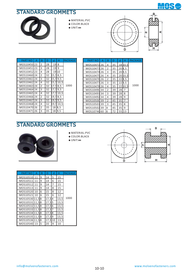



- **◆** MATERIAL:PVC
- **◆** COLOR:BLACK
- **◆** UNIT:**㎜**



| <b>PART NO</b> | А  | B              | D  | d          | н    | <b>PACKAG</b> |
|----------------|----|----------------|----|------------|------|---------------|
| MOS1045023     |    | 2              | 28 | 19         | 8    |               |
| MOS1045123     |    | 3              | 28 | 19         | 9    |               |
| MOS1045223     |    | 4              | 28 |            | 1910 |               |
| MOS1046024     |    | $\overline{2}$ | 32 | 15.5       | 8,5  |               |
| MOS1046124     |    | 3              | 32 | 15.5       | 9,5  |               |
| MOS1046224     |    | 4              | 32 | 15.5       | 10,5 |               |
| MOS1046324     |    | $\overline{2}$ | 32 | 7.5        | 8,5  | 1000          |
| MOS1046424     |    | 3              | 32 | 47.<br>5   | 9,5  |               |
| MOS1046524     |    | 4              | 32 | 11.7.<br>5 | 10,5 |               |
| MOS1046624     |    | $\overline{2}$ | 32 | 19,5       | 8,5  |               |
| MOS1046724     |    | 3              | 32 | 19,5       | 9,5  |               |
| MOS1046824     |    | 4              | 32 | 19,5       | 10,5 |               |
| MOS1047026     |    | $\overline{2}$ | 35 | 18         | 8,5  |               |
| MOS10471       | 26 | 3              | 35 | 18         | 9.5  |               |

| PART NO             | Α | B              | D  | d        | н         | <b>PACKAGE</b> | <b>PART NO</b> | А | B | D  | d  | н       | <b>PACKAGE</b> |
|---------------------|---|----------------|----|----------|-----------|----------------|----------------|---|---|----|----|---------|----------------|
| IOS1045023          |   | $\overline{2}$ | 28 | $19$ 8   |           |                | MOS1047226     |   | 4 | 35 |    | 18 10,5 |                |
| IOS10451 23         |   | 3              | 28 | $19$   9 |           |                | MOS1047326     |   | 2 | 35 |    | 208,5   |                |
| IOS1045223          |   | 4              | 28 |          | 1910      |                | MOS1047426     |   | 3 | 35 |    | 209,5   |                |
| IOS1046 <b>0</b> 24 |   | 2              | 32 | 15,58,5  |           |                | MOS1047526     |   | 4 | 35 |    | 2010,5  |                |
| IOS10461 <i>24</i>  |   | 3              | 32 | 15,59,5  |           |                | MOS1047626     |   | 2 | 35 |    | 228,5   |                |
| IOS1046 <b>2</b> 24 |   | 4              | 32 |          | 15,510,5  |                | MOS1047726     |   | 3 | 35 |    | 229,5   |                |
| IOS1046324          |   | 2              | 32 | 17,58,5  |           | 1000           | MOS1047826     |   | 4 | 35 |    | 22 10,5 | 1000           |
| IOS1046424          |   | 3              | 32 | 17,59,5  |           |                | MOS1049034     |   | 2 | 39 | 28 | 7       |                |
| IOS10465 24         |   | 4              | 32 |          | 17,5 10,5 |                | MOS1049134     |   | 3 | 39 | 28 | 8       |                |
| IOS1046624          |   | 2              | 32 | 19,58,5  |           |                | MOS1049234     |   | 4 | 39 | 28 | 9       |                |
| IOS1046724          |   | 3              | 32 | 19,59,5  |           |                | MOS1050039     |   | 2 | 45 | 35 | 7       |                |
| IOS1046824          |   | 4              | 32 |          | 19,5 10,5 |                | MOS1050139     |   | 3 | 45 | 35 | 8       |                |
| IOS1047 <b>0</b> 26 |   | 2              | 35 | 18       | 8,5       |                | MOS1050239     |   | 4 | 45 | 35 | 9       |                |
| IOS1047126          |   | 3              | 35 |          | 18 9,5    |                | MOS1074660     |   | 6 | 72 |    | 55 13   |                |



- **◆** MATERIAL:PVC
- **◆** COLOR:BLACK
- **◆** UNIT:**㎜**



| <b>PART NO</b> | А  | B |           | d |      | <b>PACKAGE</b> |
|----------------|----|---|-----------|---|------|----------------|
| MOS10510       | 11 | 9 | 14        | 5 | 15   |                |
| MOS10511       | 11 | 9 | 14        | 6 | 15   |                |
| MOS10512       | 11 | 9 | 14        | 7 | 15   |                |
| MOS10513       | 11 | 9 | 14        | 8 | 15   |                |
| MOS10520       | 10 | 6 | 15        | 8 | 12   |                |
| MOS10521       | 10 | 6 | 15        | 6 | 12   |                |
| MOS1053011.58  |    |   | 17,54     |   | 13,5 | 1000           |
| MOS1053111.58  |    |   | 17,55     |   | 13,5 |                |
| MOS10532111.58 |    |   | 17,56     |   | 13,5 |                |
| MOS1053311.58  |    |   | 17,57     |   | 13,5 |                |
| MOS1053411.58  |    |   | 17,58     |   | 13.5 |                |
| MOS1053511,58  |    |   | 17.59     |   | 13,5 |                |
| MOS1053611.58  |    |   | 17.5 I 10 |   | 13,5 |                |
| MOS10540 13    |    | 5 | 20        | 9 | 10   |                |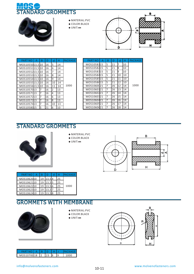



- **◆** MATERIAL:PVC
- **◆** COLOR:BLACK
- **◆** UNIT:**㎜**



| <b>PART NO</b>  | А | B | D  | d  | н  | <b>PACKAG</b> |
|-----------------|---|---|----|----|----|---------------|
| MOS1055013,510  |   |   | 16 | 5  | 14 |               |
| MOS1055113,510  |   |   | 16 | 6  | 14 |               |
| MOS1055213,510  |   |   | 16 | 7  | 14 |               |
| MOS1055313,510  |   |   | 16 | 8  | 14 |               |
| MOS1055413,510  |   |   | 16 | 9  | 14 |               |
| MOS1055513.5 10 |   |   | 16 | 10 | 14 |               |
| MOS1055613,510  |   |   | 16 | 11 | 14 | 1000          |
| MOS1057013      |   | 7 | 16 | 2  | 13 |               |
| MOS1057113      |   | 7 | 16 | 4  | 13 |               |
| MOS1057213      |   | 7 | 16 | 6  | 13 |               |
| MOS1057313      |   | 7 | 16 | 8  | 13 |               |
| MOS1057413      |   | 7 | 16 | 10 | 13 |               |
| MOS1058015      |   | 5 | 21 | 6  | 10 |               |

| PART NO         | Α | B  | D  | d              | н  | <b>PACKAGE</b> | <b>PART NO</b> | Α | B | D  | d         | н  | <b>PACKAGE</b> |
|-----------------|---|----|----|----------------|----|----------------|----------------|---|---|----|-----------|----|----------------|
| IOS1055013,5 10 |   |    | 16 | 5              | 14 |                | MOS1058115     |   | 5 | 21 |           | 10 |                |
|                 |   |    | 16 | 6              | 14 |                | MOS1058215     |   | 5 | 21 | 8         | 10 |                |
| IOS1055213.5 10 |   |    | 16 |                | 14 |                | MOS1058315     |   | 5 | 21 | <b>p</b>  | 10 |                |
| IOS1055313.5 10 |   |    | 16 | 8              | 14 |                | MOS1058415     |   | 5 | 21 | 10        | 10 |                |
| IOS1055413.5 10 |   |    | 16 | 9              | 14 |                | MOS1058515     |   | 5 | 21 | 111       | 10 |                |
| IOS1055513.5 10 |   |    | 16 | 10             | 14 |                | MOS1058615     |   | 5 | 21 | 12        | 10 |                |
| IOS1055613.5 10 |   |    | 16 | 11             | 14 | 1000           | MOS1060021     |   |   | 26 | 12        | 14 | 1000           |
| IOS1057013      |   |    | 16 | $\overline{2}$ | 13 |                | MOS1060121     |   | 7 | 26 | 13        | 14 |                |
| IOS10571113     |   |    | 16 | $\overline{4}$ | 13 |                | MOS1060221     |   |   | 26 | 14        | 14 |                |
| IOS1057213      |   |    | 16 | 6              | 13 |                | MOS1060321     |   |   | 26 | <b>15</b> | 14 |                |
| IOS1057313      |   |    | 16 | 8              | 13 |                | MOS1060421     |   |   | 26 | 16        | 14 |                |
| IOS1057413      |   |    | 16 | 10             | 13 |                | MOS1060521     |   | 7 | 26 | 17        | 14 |                |
| IOS1058015      |   | 15 | 21 | 6              | 10 |                | MOS1060d21     |   | 7 | 26 | 18        | 14 |                |



- **◆** MATERIAL:PVC
- **◆** COLOR:BLACK **◆** UNIT:**㎜**



| <b>PART NO</b> |    |           |    | <b>PACKAGE</b> |
|----------------|----|-----------|----|----------------|
| MOS1062010     |    | 19 13.5 4 | 25 |                |
| MOS1062110     | 19 | 13,55     | 25 |                |
| MOS1062210     | 19 | 13,5      | 25 | 1000           |
| MOS1062310     |    |           | 25 |                |
| MOS1062410     |    |           |    |                |

#### GROMMETS WITH MEMBRANE



- **◆** MATERIAL:PVC **◆** COLOR:BLACK
- **◆** UNIT:**㎜**



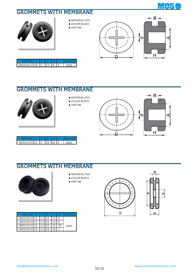

#### GROMMETS WITH MEMBRANE



- **◆** MATERIAL:PVC
- **◆** COLOR:BLACK **◆** UNIT:**㎜**



| PARING       |  |     |  |  |
|--------------|--|-----|--|--|
| MOS1011718 2 |  | 123 |  |  |

## GROMMETS WITH MEMBRANE



- **◆** MATERIAL:PVC
- **◆** COLOR:BLACK **◆** UNIT:**㎜**



| <b>PART NO</b>       |  |  | <b>PACKAGE</b> |
|----------------------|--|--|----------------|
| MOS1072321 2 28 16 8 |  |  | 1000           |

#### GROMMETS WITH MEMBRANE



- **◆** MATERIAL:PVC **◆** COLOR:BLACK
- **◆** UNIT:**㎜**





| PART NO   A   B   |          |  | <b>IPACKAGE</b> |
|-------------------|----------|--|-----------------|
| MOS1071015 1.5 19 |          |  |                 |
| MOS1071115        | $2,5$ 19 |  |                 |
| MOS1071215        | $3.5$ 19 |  | 1000            |
| MOS1071319        | 12.51    |  |                 |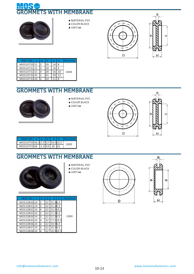



- **◆** MATERIAL:PVC
- **◆** COLOR:BLACK
- **◆** UNIT:**㎜**





| <b>PART NO</b> |   |    |    |    | <b>IPACKAGE</b> |
|----------------|---|----|----|----|-----------------|
| MOS1072021     | 2 | 28 |    |    |                 |
| MOS1072121     | 3 | 28 |    |    |                 |
| MOS1072221     |   | 28 | 16 | 10 | 1000            |
| MOS1073035     |   | 41 | 29 | 12 |                 |
| MOS1073326     |   |    |    |    |                 |

#### GROMMETS WITH MEMBRANE



- **◆** MATERIAL:PVC
- **◆** COLOR:BLACK **◆** UNIT:**㎜**





| PARTNO A B D d H PACKAGE       |  |  |  |      |
|--------------------------------|--|--|--|------|
| MOS10750 46,5 2,5 52 34,5 13,5 |  |  |  | 1000 |
| MOS1075346 2,5 54 36 10        |  |  |  |      |

#### GROMMETS WITH MEMBRANE



- **◆** MATERIAL:PVC **◆** COLOR:BLACK
- **◆** UNIT:**㎜**

| <b>PART NO</b> | А | B              |    |          | <b>PACKAGE</b> |
|----------------|---|----------------|----|----------|----------------|
| MOS1083024     |   | $\overline{2}$ | 32 | 15,58,5  |                |
| MOS1083124     |   | 3              | 32 | 15,59,5  |                |
| MOS1083224     |   | 4              | 32 | 15,510,5 |                |
| MOS1083324     |   | $\overline{2}$ | 32 | 17,58,5  |                |
| MOS1083424     |   | 3              | 32 | 17,59,5  | 1000           |
| MOS1083524     |   | 4              | 32 | 17.510.5 |                |
| MOS1083624     |   | $\overline{2}$ | 32 | 19,58,5  |                |
| MOS1083724     |   | 3              | 32 | 19,59,5  |                |
| MOS1083824     |   |                |    |          |                |



D

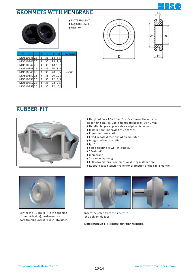#### GROMMETS WITH MEMBRANE





- **◆** MATERIAL:PVC **◆** COLOR:BLACK
- **◆** UNIT:**㎜**





| <b>PART NO</b> | B |    | d  |     | <b>PACKAGE</b> |
|----------------|---|----|----|-----|----------------|
| MOS1084526     | 2 | 35 | 18 | 8,5 |                |
| MOS1084626     | 3 | 35 | 18 | 9.5 |                |
| MOS1084726     | 4 | 35 | 18 |     |                |
| MOS1084826     | 2 | 35 | 20 | 8,5 |                |
| MOS1084926     | 3 | 35 | 20 | 9.5 | 1000           |
| MOS1085026     | 4 | 35 | 20 |     |                |
| MOS1085126     | 2 | 35 | 22 | 8,5 |                |
| MOS1085226     | 3 | 35 | 22 | 9.5 |                |
| MOS1085326     |   |    |    |     |                |

#### RUBBER-FIT



- Height of only 17-20 mm, 5,5 5,7 mm on the outside **◆** depending on size. Cable glands are approx. 30-40 mm.
- ◆ Handles large range of cable and pipe diameters.
- ◆ Installation time saving of up to 90%.
- ◆ Ergonomic installation
- Fixed in both directions when mounted. **◆**
- ◆ Integrated tension relief
- ◆ Ip67
- ◆ Self-adjusting to wall thickness.
- "Pushout" **◆**
- ◆ membrane
- ◆ Space saving design
- ◆ KLIK = No material compression during installation.
- ◆ Rubber coated tension relief for protection of the cable mantle.



 Center the RUBBERFIT in the opening (from the inside), push evenly with both thumbs until it "kliks" into place.



Insert the cable from the side with the polyamide tabs.

**Note! RUBBER-FIT** is installed from the inside.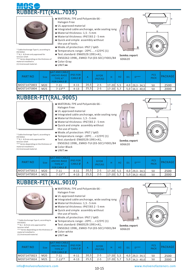# FIT(RAL.7035)



\* Cable Anchorage Type A, according to EN 50262.

- \*\* 8,1 8,9 mm only approved for tension relief.
- \*\*\* Varies depending on the thickness of material installed in.
- (1) Unstressed material.
- **◆** MATERIAL:TPE and Polyamide 66 Halogen Free
- **◆** UL approved material
- **◆** Integrated cable anchorage, wide sealing range
- **◆** Material thickness: 1,5 5 mm
- **◆** Material thickness: IP67/65 2 5 mm **◆** Quick and simple assembly without
- the use of tools. **◆** Mode.of.protection: IP67 / Ip65
- **◆** Temperature.range: -20ºC....+125ºC (1)
- **◆** Test.standard: EN60529:1991+A1, EN50262:1998,, EMKO-TUI (03-SEC) FI001/84
- **◆** Color:Gray
- **◆** UNIT:**㎜**



**Semko.report** 606620



| <b>PART NO</b> | Size | lp67 AND CABLE<br>ANCHO-RAGE<br><b>TYPE A*</b><br>FOR CABLE $\emptyset$ | <b>IP65 FOR</b><br>CABLE Ø |      | <b>BFOR</b><br>IP67/65 |           | H <sub>2</sub> | $D***$              | <b>PCS</b><br>PACK | <b>PACKAGE</b> |
|----------------|------|-------------------------------------------------------------------------|----------------------------|------|------------------------|-----------|----------------|---------------------|--------------------|----------------|
| MOST1475803    | M20  | $7 - 11$                                                                | $4 - 11$                   | 20,5 | $2 - 5$                | $17 - 20$ |                | $4,0$   29.3 - 34.5 | 50                 | 2500           |
| ∎MOST1475804   | M25  | $7 - 13**$                                                              | $4 - 13$                   | 25,5 | $2 - 5$                | 17-20     |                | $5,0$ 34,3 - 40,0   | 50                 | 2000           |

# RUBBER-FIT(RAL.9005)



\* Cable Anchorage Type A, according to EN 50262.

\*\* 8,1 - 8,9 mm only approved for tension relief.

\*\*\* Varies depending on the thickness of material installed in.

(1) Unstressed material.

- **◆** MATERIAL:TPE and Polyamide 66 -
- Halogen Free **◆** UL approved material
- 
- **◆** Integrated cable anchorage, wide sealing range
- **◆** Material thickness: 1,5 5 mm
- **◆** Material thickness: IP67/65 2 5 mm **◆** Quick and simple assembly without
- the use of tools. **◆** Mode.of.protection: IP67 / Ip65
- **◆** Temperature.range: -20ºC....+125ºC (1)
- **◆** Test.standard: EN60529:1991+A1,
- EN50262:1998,, EMKO-TUI (03-SEC) FI001/84 **◆** Color:Black
- **◆** UNIT:**㎜**





606620

| <b>PART NO</b> | Size | lp67 AND CABLE<br>ANCHO-RAGE<br><b>TYPE A*</b><br>FOR CABLE $\emptyset$ | <b>IP65 FOR</b><br>$CABLE \phi$ |      | <b>BFOR</b><br>IP67/65 |           | Η2 | D1 | $N$ ***             | <b>PCS</b><br><b>PACK</b> | <b>PACKAGE</b> |
|----------------|------|-------------------------------------------------------------------------|---------------------------------|------|------------------------|-----------|----|----|---------------------|---------------------------|----------------|
| ∎MOST1475813   | M20  | 7-11                                                                    | $4 - 11$                        | 20,5 | $2 - 5$                | $17 - 20$ |    |    | $4,0$   29,3 - 34,5 | 50                        | 2500           |
| ∎MOST1475814   | M25  | $7 - 13**$                                                              | $4 - 13$                        | 25,5 | $2 - 5$                | $17 - 20$ |    |    | $5,0$ 34,3 - 40,0   | 50                        | 2000           |

# RUBBER-FIT(RAL.9010)



\* Cable Anchorage Type A, according to EN 50262.

\*\* 8,1 - 8,9 mm only approved for

tension relief.

\*\*\* Varies depending on the thickness of material installed in. (1) Unstressed material.

- **◆** MATERIAL:TPE and Polyamide 66 Halogen Free
- **◆** UL approved material
- **◆** Integrated cable anchorage, wide sealing range
- **◆** Material thickness: 1,5 5 mm
- **◆** Material thickness: IP67/65 2 5 mm
- **◆** Quick and simple assembly without the use of tools.
- **◆** Mode.of.protection: IP67 / Ip65
- **◆** Temperature.range: -20ºC....+125ºC (1)
- **◆** Test.standard: EN60529:1991+A1,
- EN50262:1998,, EMKO-TUI (03-SEC) FI001/84 **◆** Color:white
- **◆** UNIT:**㎜**





**Semko.report** 606620

| PART NO     | <b>Size</b> | Ip67 AND CABLE<br>ANCHO-RAGE<br>TYPE A*<br>FOR CABLE Ø | <b>IP65 FOR</b><br>$CABLE \phi$ | $\mathsf{A}$ | <b>BFOR</b><br>IP67/65 | н         | Н2  | $n***$            | <b>PCS</b><br><b>PACK</b> | PACKAGE |
|-------------|-------------|--------------------------------------------------------|---------------------------------|--------------|------------------------|-----------|-----|-------------------|---------------------------|---------|
| MOST1475823 | M20         | 7-11                                                   | $4 - 11$                        | 20,5         | $2 - 5$                | $17 - 20$ | 5,5 | $4,0$ 29,3 - 34,5 | 50                        | 2500    |
| MOST1475824 | M25         | $7 - 13**$                                             | $4 - 13$                        | 25,5         | $2 - 5$                | $17 - 20$ | 5,7 | $5,0$ 34,3 - 40,0 | 50                        | 2000    |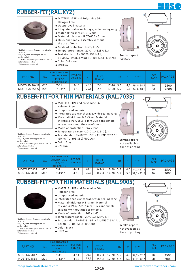

## RUBBER-FIT(RAL.XYZ)



\* Cable Anchorage Type A, according to EN 50262. \*\* 8,1 - 8,9 mm only approved for

- tension relief. \*\*\* Varies depending on the thickness of material installed in.
- (1) Unstressed material.
- **◆** MATERIAL:TPE and Polyamide 66 Halogen Free
- **◆** UL approved material
- **◆** Integrated cable anchorage, wide sealing range
- **◆** Material thickness: 1,5 5 mm
- **◆** Material thickness: IP67/65 2 5 mm
- **◆** Quick and simple assembly without the use of tools.
- **◆** Mode.of.protection: IP67 / Ip65
- **◆** Temperature.range: -20ºC....+125ºC (1)
- **◆** Test.standard: EN60529:1991+A1, EN50262:1998,, EMKO-TUI (03-SEC) FI001/84 **◆** Color:Coloured
- **◆** UNIT:**㎜**
- 



**Semko.report** 606620



'n.

| <b>PART NO</b> | Sizel | ID67 AND CABLE<br>ANCHO-RAGE<br>TYPE A*<br>FOR CABLE Ø | <b>IP65 FOR</b><br>CABLE Ø |      | <b>BFOR</b><br>IP67/65 |             |     | D. | $D***$              | <b>PCS</b><br><b>PACK</b> | PACKAGE |
|----------------|-------|--------------------------------------------------------|----------------------------|------|------------------------|-------------|-----|----|---------------------|---------------------------|---------|
| MOSTKSM20XYZ   | M20   | 7-11                                                   | $4 - 11$                   | 20,5 | $2 - 5$                | $17-20$ 5.5 |     |    | $4,0$   29,3 - 34,5 | 50                        | 2500    |
| MOSTKSM25XYZ   | M25   | $7 - 13**$                                             | $4 - 13$                   | 25,5 | $2 - 5$                | 17-20       | 5,7 |    | $5,0$ 34,3 - 40,0   | 50                        | 2000    |

## RUBBER-FITFOR THIN MATERIALS (RAL.7035)



\* Cable Anchorage Type A, according to EN 50262. \*\* 8,1 - 8,9 mm only approved for tension relief. \*\*\* Varies depending on the thickness of

material installed in. (1) Unstressed material.

- **◆** MATERIAL:TPE and Polyamide 66 -
- Halogen Free
- **◆** UL approved material
- **◆** Integrated cable anchorage, wide sealing range **◆** Material thickness 0,5 - 3 mm Material
- thickness IP67/65 2 5 mm Quick and simple assembly without the use of tools.
- **◆** Mode.of.protection: IP67 / Ip65
- **◆** Temperature.range: -20ºC....+125ºC (1)
- ◆ Test.standard EN60529:1991+A1, EN50262:19 EMKO-TUI (03-SEC) FI001/84
- **◆** Color:Gray
- **◆** UNIT:**㎜**

| <b>PART NO</b>     | <b>Size</b> | lp67 AND CABLE<br>ANCHO-RAGE<br><b>TYPE A*</b><br>FOR CABLE $\emptyset$ | <b>IP65 FOR</b><br>CABLE Ø |      | <b>BFOR</b><br>IP67/65 |             |     | $D***$              | <b>PCS</b><br><b>PACK</b> | <b>PACKAGE</b> |
|--------------------|-------------|-------------------------------------------------------------------------|----------------------------|------|------------------------|-------------|-----|---------------------|---------------------------|----------------|
| <b>MOST1475807</b> | M20         | 7-11                                                                    | $4 - 11$                   | 20,5 | $0.7 - 3$              | $17-20$ 5,5 |     | $4,0$ 34, 2 - 37, 2 | 50                        | 2500           |
| MOST1475808        | M25         | $7 - 13**$                                                              | $4 - 13$                   | 25,5 | $0.7 - 3$              | $17 - 20$   | 5.7 | $5,0$ 39,2 - 42,2   | 50                        | 2000           |

#### RUBBER-FITFOR THIN MATERIALS (RAL.9005)



\* Cable Anchorage Type A, according to EN 50262.

\*\* 8,1 - 8,9 mm only approved for

tension relief. \*\*\* Varies depending on the thickness of material installed in.

(1) Unstressed material.

- **◆** MATERIAL:TPE and Polyamide 66 Halogen Free
- **◆** UL approved material
- **◆** Integrated cable anchorage, wide sealing range
- **◆** Material thickness 0,5 3 mm Material thickness IP67/65 2 - 5 mm Quick and simple assembly without the use of tools.
- **◆** Mode.of.protection: IP67 / Ip65
- **◆** Temperature.range: -20ºC....+125ºC (1)
- ◆ Test.standard EN60529:1991+A1, EN50262:19<sub>2</sub> EMKO-TUI (03-SEC) FI001/84
- **◆** Color: Black
- **◆** UNIT:**㎜**





| PART NO            | <b>Size</b> | lp67 AND CABLE<br>ANCHO-RAGE<br>TYPE A*<br><b>FOR CABLE Ø</b> | <b>IP65 FOR</b><br>CABLE Ø |      | <b>BFOR</b><br>IP67/65 |             |     | $D***$              | <b>PCS</b><br><b>PACK</b> | <b>PACKAGE</b> |
|--------------------|-------------|---------------------------------------------------------------|----------------------------|------|------------------------|-------------|-----|---------------------|---------------------------|----------------|
| <b>MOST1475817</b> | M20         | 7-11                                                          | $4 - 11$                   | 20.5 | $0.7 - 3$              | $17-20$ 5.5 |     | $4,0$ 34, 2 - 37, 2 | 50                        | 2500           |
| MOST1475818        | M25         | $7 - 13**$                                                    | $4 - 13$                   | 25,5 | $0.7 - 3$              | 17-20       | 5.7 | $5,0$ 39.2 - 42.2   | 50                        | 2000           |

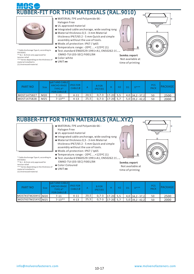# FIT FOR THIN MATERIALS (RAL.9010)



\* Cable Anchorage Type A, according to EN 50262. \*\* 8,1 - 8,9 mm only approved for tension relief. \*\*\* Varies depending on the thickness of material installed in. (1) Unstressed material.

- **◆** MATERIAL:TPE and Polyamide 66 Halogen Free
- **◆** UL approved material
- **◆** Integrated cable anchorage, wide sealing range
- **◆** Material thickness 0,5 3 mm Material thickness IP67/65 2 - 5 mm Quick and simple assembly without the use of tools.
- **◆** Mode.of.protection: IP67 / Ip65
- **◆** Temperature.range: -20ºC....+125ºC (1) ◆ Test.standard EN60529:1991+A1, EN50262:19 EMKO-TUI (03-SEC) FI001/84
- **◆** Color:white
- **◆** UNIT:**㎜**



A

time of printing



ਯਾ

| <b>PART NO</b> | Size.           | lp67 AND CABLE<br>ANCHO-RAGE<br>TYPE A*<br><b>FOR CABLE Ø</b> | <b>IP65 FOR</b><br>CABLE Ø |      | <b>BFOR</b><br>IP67/65 |           | H <sub>2</sub> | $D***$            | PCS<br><b>PACK</b> | PACKAGE |
|----------------|-----------------|---------------------------------------------------------------|----------------------------|------|------------------------|-----------|----------------|-------------------|--------------------|---------|
| l MOST1475827  | M20             | 7-11                                                          | $4 - 11$                   | 20,5 | $0,7-3$                | 17-20 5.5 |                | $4,0$ 34,2 - 37,2 | 50                 | 2500    |
| MOST1475828    | M <sub>25</sub> | $7 - 13**$                                                    | $4 - 13$                   | 25,5 | $0.7 - 3$              | 17-20 5.7 |                | $5,0$ 39,2 - 42,2 | 50                 | 2000    |

#### RUBBER-FIT FOR THIN MATERIALS (RAL.XYZ)



\* Cable Anchorage Type A, according to EN 50262. \*\* 8,1 - 8,9 mm only approved for

tension relief.

material installed in. (1) Unstressed material.

- **◆** MATERIAL:TPE and Polyamide 66 -
- Halogen Free
- **◆** UL approved material
- **◆** Integrated cable anchorage, wide sealing range
- **◆** Material thickness 0,5 3 mm Material thickness IP67/65 2 - 5 mm Quick and simple assembly without the use of tools.
- **◆** Mode.of.protection: IP67 / Ip65
- **◆** Temperature.range: -20ºC....+125ºC (1)
- ◆ Test.standard EN60529:1991+A1, EN50262:19<sub>2</sub> EMKO-TUI (03-SEC) FI001/84
- **◆** Color:Coloured
- **◆** UNIT:**㎜** \*\*\* Varies depending on the thickness of



**Semko.report** Not available at time of printing

| PART NO           | Size | ID67 AND CABLE<br>ANCHO-RAGE<br>TYPE A*<br>FOR CABLE $\emptyset$ | <b>IP65 FOR</b><br>CABLE Ø |      | <b>BFOR</b><br>IP67/65 |             | Н2 | $D***$              | <b>PCS</b><br><b>PACK</b> | PACKAGE |
|-------------------|------|------------------------------------------------------------------|----------------------------|------|------------------------|-------------|----|---------------------|---------------------------|---------|
| MOSTKSTM20XYZ M20 |      | 7-11                                                             | $4 - 11$                   | 20.5 | $0.7 - 3$              | $17-20$ 5.5 |    | $4,0$ 34, 2 - 37, 2 | 50                        | 2500    |
| MOSTKSTM25XYZLM25 |      | $7-13**$                                                         | $4 - 13$                   | 25.5 | $0.7 - 3$              | $17-20$ 5.7 |    | 5,0 39,2 - 42,2     | 50                        | 2000    |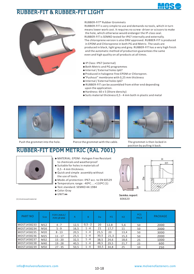#### RUBBER-FIT & RUBBER-FIT LIGHT





#### RUBBER-FIT® Rubber Grommets

RUBBER-FIT is very simple to use and demands no tools, which in turn means lower work cost. It requires no screw- driver or scissors to make the hole, which otherwise would endanger the IP-class seal. RUBBER-FIT is SEMKO tested for IP67 internally and externally. The chloroprene version is also DNV approved. RUBBER-FIT is produced in EPDM and Chloroprene in both PG and Metric. The seals are produced in black, light grey and grey. RUBBER-FIT has a very high finish and the automatic method of production guarantees the same even and high quality on all products at all times.

- **◆** IP Class: IP67 (external)
- **◆** Both Metric and PG programmes
- **◆** Internal / External holes Ip67
- **◆** Produced in halogene-free EPDM or Chloropren.
- **◆** "Pushout" membrane with 0,25 mm thickness
- **◆** Internal / External holes Ip67
- **◆** RUBBER-FIT can be assembled from either end depending upon the application.
- **◆** Hardness: 60 ± 5 (Shore density)
- **◆** Suits material thickness 0,5 4 mm both in plastic and metal





Push the grommet into the hole. Pierce the grommet with the cable. The grommet is then locked in



position by pulling it back.

## RUBBER-FIT EPDM METRIC (RAL 7001)



(1) Unstressed material.

- **◆** MATERIAL: EPDM Halogen Free Resistant to chemicals and weatherproof
- **◆** Suitable for holes in materials of 0,5 - 4 mm thickness.
- **◆** Quick and simple assembly without the use of tools.
- **◆** Mode.of.protection: IP67 acc. to EN 60529
- **◆** Temperature.range: -40ºC....+110ºC (1)
- **◆** Test.standard: SEMKO 44:1984
- **◆** Color:Gray
- 



 $Semko.report$ 606620

| <b>PART NO</b> | <b>Size</b> | <b>FOR CABLE/</b><br>PIPE Ø MM | A    | B.         | Da   | H1   | H <sub>2</sub> | <b>PCS</b><br><b>PACK</b> | PACKAGE |
|----------------|-------------|--------------------------------|------|------------|------|------|----------------|---------------------------|---------|
| MOST1458233    | M12         | $4 - 7$                        | 12,5 | $0, 5 - 2$ | 20   | 12,8 | 5,6            | 50                        | 2000    |
| MOST1458234    | M16         | $5 - 9$                        | 16,5 | $1 - 4$    | 21   | 17,7 | 11             | 50                        | 2000    |
| MOST1458235    | M20         | $8 - 13$                       | 20,5 | $1 - 4$    | 25,5 | 20   | 13,4           | 50                        | 3000    |
| MOST1458236    | M25         | $11 - 17$                      | 25,5 | 1 - 4      | 30,5 | 21,3 | 15,3           | 50                        | 2000    |
| MOST1458237    | M32         | $15 - 20$                      | 32,5 | $1 - 4$    | 38,5 | 24,6 | 18,6           | 25                        | 1000    |
| MOST1458238    | M40         | $19 - 28$                      | 40,5 | $1 - 4$    | 48,5 | 29,5 | 21,7           | 25                        | 600     |
| MOST1458239    | M50         | $27 - 35$                      | 50,5 | $1 - 4$    | 60,5 | 34.8 | 25             | 10                        | 250     |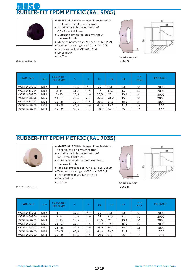# R-FIT EPDM METRIC (RAL 9005)



(1) Unstressed material.

- **◆** MATERIAL: EPDM Halogen Free Resistant to chemicals and weatherproof
- **◆** Suitable for holes in materials of
- 0,5 4 mm thickness.
- **◆** Quick and simple assembly without the use of tools.
- **◆** Mode.of.protection: IP67 acc. to EN 60529
- **◆** Temperature.range: -40ºC....+110ºC (1) **◆** Test.standard: SEMKO 44:1984
	-
- **◆** Color:Black
- 

 $\overline{H}$  $H1$ B B

 $Semko. report$ 606620

| <b>PART NO</b> | <b>Size</b> | <b>FOR CABLE/</b><br>PIPE Ø MM | А    | R.         | <b>Da</b> | H1   | H <sub>2</sub> | <b>PCS</b><br><b>PACK</b> | <b>PACKAGE</b> |
|----------------|-------------|--------------------------------|------|------------|-----------|------|----------------|---------------------------|----------------|
| MOST1458293    | M12         | $4 - 7$                        | 12,5 | $0, 5 - 2$ | 20        | 12,8 | 5,6            | 50                        | 2000           |
| MOST1458294    | M16         | $5 - 9$                        | 16,5 | $1 - 4$    | 21        | 17,7 | 11             | 50                        | 2000           |
| MOST1458295    | M20         | $8 - 13$                       | 20,5 | $1 - 4$    | 25,5      | 20   | 13,4           | 50                        | 3000           |
| MOST1458296    | M25         | $11 - 17$                      | 25,5 | $1 - 4$    | 30,5      | 21,3 | 15,3           | 50                        | 2000           |
| MOST1458297    | M32         | $15 - 20$                      | 32,5 | $1 - 4$    | 38,5      | 24,6 | 18,6           | 25                        | 1000           |
| MOST1458298    | M40         | $19 - 28$                      | 40,5 | $1 - 4$    | 48,5      | 29,5 | 21,7           | 25                        | 600            |
| MOST1458299    | M50         | $27 - 35$                      | 50,5 | $1 - 4$    | 60,5      | 34,8 | 25             | 10                        | 250            |

#### RUBBER-FIT EPDM METRIC (RAL 7035)



- **◆** MATERIAL: EPDM Halogen Free Resistant to chemicals and weatherproof
- **◆** Suitable for holes in materials of 0,5 - 4 mm thickness.
- **◆** Quick and simple assembly without the use of tools.
- **◆** Mode.of.protection: IP67 acc. to EN 60529
- **◆** Temperature.range: -40ºC....+110ºC (1)
- **◆** Test.standard: SEMKO 44:1984
- ◆ Color:White<br>◆ UNIT:mm
- 



 $Semko.report$ 606620

| <b>PART NO</b> | <b>Size</b> | FOR CABLE/<br>PIPE Ø MM | A    | <sub>R</sub> | Da   | H1   | H <sub>2</sub> | <b>PCS</b><br><b>PACK</b> | PACKAGE |
|----------------|-------------|-------------------------|------|--------------|------|------|----------------|---------------------------|---------|
| MOST1458203    | M12         | $4 - 7$                 | 12,5 | $0, 5 - 2$   | 20   | 12,8 | 5,6            | 50                        | 2000    |
| MOST1458204    | M16         | $5 - 9$                 | 16,5 | 1 - 4        | 21   | 17,7 | 11             | 50                        | 2000    |
| MOST1458205    | M20         | $8 - 13$                | 20,5 | $1 - 4$      | 25,5 | 20   | 13,4           | 50                        | 3000    |
| MOST1458206    | M25         | $11 - 17$               | 25,5 | $1 - 4$      | 30,5 | 21,3 | 15,3           | 50                        | 2000    |
| MOST1458207    | M32         | $15 - 20$               | 32,5 | $1 - 4$      | 38,5 | 24,6 | 18,6           | 25                        | 1000    |
| MOST1458208    | M40         | $19 - 28$               | 40,5 | $1 - 4$      | 48,5 | 29,5 | 21,7           | 25                        | 600     |
| MOST1458209    | M50         | $27 - 35$               | 50,5 | $1 - 4$      | 60,5 | 34.8 | 25             | 10                        | 250     |

(1) Unstressed material.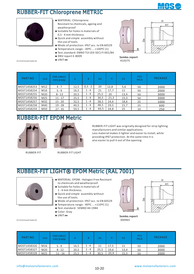

#### RUBBER-FIT Chloroprene METRIC



(1) Unstressed material.

- **◆** MATERIAL: Chloroprene Resistant to chemicals, ageing and weatherproof
- **◆** Suitable for holes in materials of 0,5 - 4 mm thickness.
- **◆** Quick and simple assembly without the use of tools.
- **◆** Mode.of.protection: IP67 acc. to EN 60529
- **◆** Temperature.range: -30ºC....+100ºC (1)
- **◆** Test.standard: EMKO TUI (03-SEC) FI 001/84
- ◆ DNV report E-8009<br>◆ UNIT·mm
- 



 $Semko.report$ 410375

| <b>PART NO</b> | <b>Size</b> | FOR CABLE/<br>PIPE Ø MM | A    | <sub>R</sub> | Da   | н    | H1   | <b>PCS</b><br><b>PACK</b> | <b>PACKAGE</b> |
|----------------|-------------|-------------------------|------|--------------|------|------|------|---------------------------|----------------|
| MOST1458253    | M12         | $4 - 7$                 | 12,5 | $0,5 - 2$    | 20   | 12,8 | 5,6  | 50                        | 2000           |
| MOST1458254    | M16         | $5 - 9$                 | 16,5 | $1 - 4$      | 21   | 17,7 | 11   | 50                        | 2000           |
| MOST1458255    | M20         | $8 - 13$                | 20,5 | $1 - 4$      | 25,5 | 20   | 13,4 | 50                        | 3000           |
| MOST1458256    | M25         | $11 - 17$               | 25,5 | $1 - 4$      | 30,5 | 21,3 | 15,3 | 50                        | 2000           |
| MOST1458257    | M32         | $15 - 20$               | 32,5 | $1 - 4$      | 38,5 | 24,6 | 18,6 | 25                        | 1000           |
| MOST1458258    | M40         | $19 - 28$               | 40,5 | $1 - 4$      | 48,5 | 29,5 | 21,7 | 25                        | 600            |
| MOST1458259    | M50         | $27 - 35$               | 50,5 | $1 - 4$      | 60,5 | 34,8 | 25   | 10                        | 250            |

#### RUBBER-FIT EPDM Metric



RUBBER-FIT RUBBER-FIT LIGHT

RUBBER-FIT LIGHT was originally designed for strip lighting manufacturers and similar applications. Less material makes it lighter and easier to install, while providing IP67 protection. At the same time it is also easier to pull it out of the opening.

#### RUBBER-FIT LIGHT® EPDM Metric (RAL 7001)



- **◆** MATERIAL: EPDM Halogen Free Resistant
- to chemicals and weatherproof.
- **◆** Suitable for holes in materials of 1 - 4 mm thickness.
- **◆** Quick and simple assembly without the use of tools.
- **◆** Mode.of.protection: IP67 acc. to EN 60529
- **◆** Temperature.range: -40ºC....+110ºC (1)
- **◆** Test.standard: SEMKO 44:1984
- **◆** Color: Gray
- 

(1) Unstressed material.

**◆** UNIT:**㎜ Semko.report** 300965 PCS

| <b>PART NO</b> | Size | <b>FOR CABLE/</b><br>PIPE Ø MM |      |      | Da   |      | H1   | <b>PCS</b><br><b>PACK</b> | <b>PACKAGE</b> |
|----------------|------|--------------------------------|------|------|------|------|------|---------------------------|----------------|
| MOST1458326    | M16  | $5 - 9$                        | 16,5 | $-4$ | 21   | 17.5 | 11   | 50                        | 2000           |
| MOST1458327    | M20  | $8 - 12$                       | 20,5 | - 4  | 25,5 | 19.6 | 13,4 | 50                        | 3000           |
| MOST1458328    | M25  | $11 - 16$                      | 25.5 | - 4  | 30.5 | 20.9 | 15.3 | 50                        | 2000           |

н  $H1$ 

å

B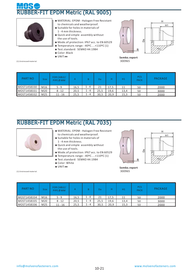# R-FIT EPDM Metric (RAL 9005)



(1) Unstressed material.

- **◆** MATERIAL: EPDM Halogen Free Resistant to chemicals and weatherproof.
- **◆** Suitable for holes in materials of 1 - 4 mm thickness.
- **◆** Quick and simple assembly without the use of tools.
- **◆** Mode.of.protection: IP67 acc. to EN 60529
- **◆** Temperature.range: -40ºC....+110ºC (1)
- **◆** Test.standard: SEMKO 44:1984
- **◆** Color: Black
- 



 $Semko.report$ 300965

| <b>PART NO</b> | Size: | <b>FOR CABLE/</b><br>PIPE Ø MM |      | B     | Da   |      | H <sub>1</sub> | <b>PCS</b><br><b>PACK</b> | <b>PACKAGE</b> |
|----------------|-------|--------------------------------|------|-------|------|------|----------------|---------------------------|----------------|
| MOST1458330    | M16   | $5 - 9$                        | 16,5 | $-4$  | 21   | 17.5 | 11             | 50                        | 2000           |
| MOST1458331    | M20   | $8 - 12$                       | 20,5 | 1 - 4 | 25,5 | 19,6 | 13,4           | 50                        | 3000           |
| MOST1458332    | M25   | $11 - 16$                      | 25,5 | 1 - 4 | 30.5 | 20,9 | 15,3           | 50                        | 2000           |

#### RUBBER-FIT EPDM Metric (RAL 7035)



- **◆** MATERIAL: EPDM Halogen Free Resistant to chemicals and weatherproof.
- **◆** Suitable for holes in materials of 1 - 4 mm thickness.
- **◆** Quick and simple assembly without the use of tools.
- **◆** Mode.of.protection: IP67 acc. to EN 60529
- **◆** Temperature.range: -40ºC....+110ºC (1)
- **◆** Test.standard: SEMKO 44:1984
- ◆ Color: White<br>◆ UNIT:mm
- 

(1) Unstressed material.



н

 $Semko.report$ 300965

| <b>PART NO</b> | <b>Size</b> | <b>FOR CABLE/</b><br>PIPE Ø MM |      |         | Da   |      | H1   | <b>PCS</b><br><b>PACK</b> | <b>PACKAGE</b> |
|----------------|-------------|--------------------------------|------|---------|------|------|------|---------------------------|----------------|
| MOST1458334    | M16         | $5 - 9$                        | 16,5 | $-4$    | 21   | 17.5 | 11   | 50                        | 2000           |
| MOST1458335    | M20         | $8 - 12$                       | 20,5 | $1 - 4$ | 25,5 | 19,6 | 13,4 | 50                        | 3000           |
| MOST1458336    | M25         | $11 - 16$                      | 25,5 | $1 - 4$ | 30.5 | 20.9 | 15.3 | 50                        | 2000           |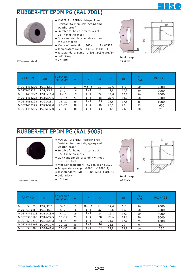

н  $H1$ 

#### RUBBER-FIT EPDM PG (RAL 7001)



- **◆** MATERIAL: EPDM Halogen Free Resistant to chemicals, ageing and weatherproof
- **◆** Suitable for holes in materials of 0,5 - 4 mm thickness.
- **◆** Quick and simple assembly without the use of tools.
- **◆** Mode.of.protection: IP67 acc. to EN 60529
- **◆** Temperature.range: -40ºC....+110ºC (1)
- **◆** Test.standard: EMKO TUI (03-SEC) FI 001/84
- **◆** Color Gray

(1) Unstressed material.

B<sub>B</sub> в



| <b>PART NO</b> | <b>Size</b> | <b>FOR CABLE/</b><br>PIPE Ø MM | $\mathsf{A}$ | <sub>R</sub> | Da | н    | H1   | <b>PCS</b><br><b>PACK</b> | <b>PACKAGE</b> |
|----------------|-------------|--------------------------------|--------------|--------------|----|------|------|---------------------------|----------------|
| MOST1458220    | PG7/12,5    | $3 - 5$                        | 13           | $0, 5 - 2$   | 20 | 12,6 | 5,6  | 50                        | 2000           |
| MOST1458221    | PG9/15,2    | $5 - 7$                        | 16           | $1 - 4$      | 21 | 17,8 | 10,3 | 50                        | 2000           |
| MOST1458222    | PG11/18,6   | $7 - 10$                       | 19           | $1 - 4$      | 24 | 19,8 | 12,7 | 50                        | 3000           |
| MOST1458223    | PG16/22,5   | $10 - 14$                      | 23           | $1 - 4$      | 28 | 21,6 | 14,7 | 50                        | 2000           |
| MOST1458224    | PG21/28,3   | $14 - 20$                      | 29           | $1 - 4$      | 35 | 24,6 | 17,6 | 25                        | 1000           |
| MOST1458225    | PG29/37,0   | $20 - 26$                      | 38           | $1 - 4$      | 46 | 28,5 | 20   | 25                        | 600            |
| MOST1458226    | PG36/47,0   | $26 - 35$                      | 48           | $1 - 4$      | 58 | 34,9 | 23,9 | 10                        | 250            |

#### RUBBER-FIT EPDM PG (RAL 9005)



(1) Unstressed material.

- **◆** MATERIAL: EPDM Halogen Free Resistant to chemicals, ageing and weatherproof
- **◆** Suitable for holes in materials of 0,5 - 4 mm thickness.
- **◆** Quick and simple assembly without the use of tools.
- **◆** Mode.of.protection: IP67 acc. to EN 60529 **◆** Temperature.range: -40ºC....+110ºC (1)
- **◆** Test.standard: EMKO TUI (03-SEC) FI 001/84
- **◆** Color Black **◆** UNIT:**㎜ Semko.report**
- 



410375

| PART NO     | <b>Size</b> | <b>FOR CABLE/</b><br>PIPE Ø MM | A  | <sub>B</sub> | Da | н    | H1   | <b>PCS</b><br><b>PACK</b> | <b>PACKAGE</b> |
|-------------|-------------|--------------------------------|----|--------------|----|------|------|---------------------------|----------------|
| MOSTRSPG7S  | PG7/12,5    | $3 - 5$                        | 13 | $0, 5 - 2$   | 20 | 12,6 | 5,6  | 50                        | 2000           |
| MOSTRSPG9S  | PG9/15,2    | $5 - 7$                        | 16 | $1 - 4$      | 21 | 17,8 | 10,3 | 50                        | 2000           |
| MOSTRSPG11S | PG11/18,6   | $7 - 10$                       | 19 | $1 - 4$      | 24 | 19,8 | 12,7 | 50                        | 3000           |
| MOSTRSPG16S | PG16/22.5   | $10 - 14$                      | 23 | $1 - 4$      | 28 | 21,6 | 14,7 | 50                        | 2000           |
| MOSTRSPG21S | PG21/28,3   | $14 - 20$                      | 29 | $1 - 4$      | 35 | 24,6 | 17,6 | 25                        | 1000           |
| MOSTRSPG29S | PG29/37,0   | $20 - 26$                      | 38 | $1 - 4$      | 46 | 28,5 | 20   | 25                        | 600            |
| MOSTRSPG36S | PG36/47,0   | $26 - 35$                      | 48 | $1 - 4$      | 58 | 34,9 | 23,9 | 10                        | 250            |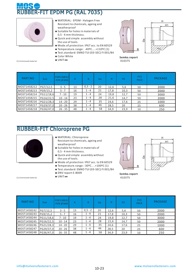# R-FIT EPDM PG (RAL 7035)



(1) Unstressed material.

- **◆** MATERIAL: EPDM Halogen Free Resistant to chemicals, ageing and weatherproof
- **◆** Suitable for holes in materials of 0,5 - 4 mm thickness.
- **◆** Quick and simple assembly without the use of tools.
- **◆** Mode.of.protection: IP67 acc. to EN 60529
- **◆** Temperature.range: -40ºC....+110ºC (1)
- **◆** Test.standard: EMKO TUI (03-SEC) FI 001/84
- ◆ Color White



 $Semko.report$ 410375

| <b>PART NO</b> | <b>Size</b> | <b>FOR CABLE/</b><br>PIPE Ø MM | A  | B.         | Da | н    | H1   | <b>PCS</b><br><b>PACK</b> | <b>PACKAGE</b> |
|----------------|-------------|--------------------------------|----|------------|----|------|------|---------------------------|----------------|
| MOST1458212    | PG7/12,5    | $3 - 5$                        | 13 | $0, 5 - 2$ | 20 | 12,6 | 5,6  | 50                        | 2000           |
| MOST1458213    | PG9/15,2    | $5 - 7$                        | 16 | $1 - 4$    | 21 | 17,8 | 10,3 | 50                        | 2000           |
| MOST1458214    | PG11/18,6   | $7 - 10$                       | 19 | $1 - 4$    | 24 | 19,8 | 12,7 | 50                        | 3000           |
| MOST1458215    | PG16/22,5   | $10 - 14$                      | 23 | $1 - 4$    | 28 | 21,6 | 14,7 | 50                        | 2000           |
| MOST1458216    | PG21/28.3   | $14 - 20$                      | 29 | $1 - 4$    | 35 | 24,6 | 17,6 | 25                        | 1000           |
| MOST1458217    | PG29/37,0   | $20 - 26$                      | 38 | $1 - 4$    | 46 | 28,5 | 20   | 25                        | 600            |
| MOST1458218    | PG36/47,0   | $26 - 35$                      | 48 | $1 - 4$    | 58 | 34,9 | 23,9 | 10                        | 250            |

#### RUBBER-FIT Chloroprene PG



(1) Unstressed material. 410375

- **◆** MATERIAL: Chloroprene Resistant to chemicals, ageing and weatherproof
- **◆** Suitable for holes in materials of 0,5 - 4 mm thickness.
- **◆** Quick and simple assembly without the use of tools.
- **◆** Mode.of.protection: IP67 acc. to EN 60529
- **◆** Temperature.range: -30ºC....+100ºC (1)
- **◆** Test.standard: EMKO TUI (03-SEC) FI 001/84
- **◆** DNV report E-8009



**Semko.report**<br>410375

PART NO Size FOR CABLE/ PIPEØMM A B Da H H1 PACK PACKAGE MOST1458242 PG7/12,5 3-5 13 0,5-2 20 12,6 5,6 50 2000<br>MOST1458243 PG9/15,2 5-7 16 1-4 21 17,8 10,3 50 2000 Size PCS PACK  $PG7/12,5$ A  $0, 5 - 2$  $H$   $H$ <sub>1</sub> 5,6 B  $12,6$ MOST1458243 PG9/15,2 5-7 16 1-4 21 17,8 10,3 50 2000<br>MOST1458244 PG11/18,6 7-10 19 1-4 24 19,8 12,7 50 3000 MOST1458244 PG11/18,6 7-10 19 1-4 24 19,8 12,7 50 3000<br>MOST1458245 PG16/22,5 10-14 23 1-4 28 21,6 14,7 50 2000 MOST1458245 PG16/22,5 10-14 23 1-4 28 21,6 14,7 50 2000<br>MOST1458246 PG21/28,3 14-20 29 1-4 35 24,6 17,6 25 1000 MOST1458246 PG21/28,3 14-20 29 1-4 35 24,6 17,6 25 1000<br>MOST1458247 PG29/37,0 20-26 38 1-4 46 28,5 20 25 600 MOST1458247 PG29/37,0 20-26 38 1-4 46 28,5 20 25 600<br>MOST1458248 PG36/47,0 26-35 48 1-4 58 34,9 23,9 10 250 MOST1458248 PG36/47,0 26 - 35 48 1 - 4 58 34,9 23,9 10

10-23 info@molvenofasteners.com www.molvenofasteners.com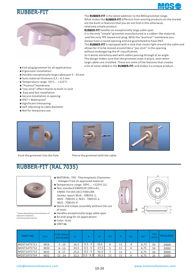#### BBFR-FIT





The **RUBBER-FIT** is the latest addition to the MOS grommet range.

What makes the **RUBBER-FIT** different from existing products on the market are the built-in features that you do not find in this otherwise relatively simple product.

RUBBER-FIT handles an exceptionelly large cable span. It is the only "simple" grommet manufactured in a rubber-like material, and the only TPE-based end-plug. With the "pushout" membrane you always have a round opening and are guaranteed to have IP67.

The RUBBER-FIT is equipped with a sock that closes tight around the cable and allows for it to be moved around like a "joy-stick" in the opening without endangering the IP-classification.

So it works extremely well with cables passing through at an angle. The design makes sure that the grommet stays in place, even when large cables are installed. These are some of the features that creates a lot of value added in the RUBBER-FIT, and makes it a unique product.

- **◆** End-plug/grommet for all applications
- **◆** Ergonomic installation
- **◆** Handles exceptionally large cablespan 5 24 mm
- **◆** Suits material thickness 0,5 4,5 mm
- **◆** Temperature range -50°C....+125°C
- **◆** "Pushout"membrane
- **◆** "Joy-stick" effect thanks to built-in sock
- **◆** Easy and fast installation
- **◆** Secure installation in opening
- **◆** IP67 = Waterproof
- **◆** Significant timesaving
- **◆** Self-adjusting to cable diameter
- **◆** Not for temporary use





Push the grommet into the hole. Pierce the grommet with the cable.



#### RUBBER-FIT (RAL 7035)



\* Varies depending on the thickness of material installed in. (1) Unstressed material.

- **◆** MATERIAL: TPE Thermoplastic Elastomer - Halogen Free UL approved material
- **◆** Temperature.range -50ºC....+125ºC (1)
- **◆** Test.standard EN60529:1991+A1, EMKO-TUI (03-SEC) FI001/84 Semko.report M16 - 708555-1, M20 - 708555-2, M25 - 708555-3, M32 - 708555-4
- **◆** Quick and simple assembly without the use of tools
- **◆** Handles exceptionally large cable span
- **◆** An end-plug for all applications
- **◆** Color: Gray
- **◆** UNIT:**㎜**



| <b>PART NO</b> | <b>Size</b>     | <b>FOR CABLE/</b><br>PIPE Ø MM | A    | B.          | D*   | D <sub>1</sub> |    | H1 | $H2*$ | <b>PCS</b><br>PACK | <b>PACKAGE</b> |
|----------------|-----------------|--------------------------------|------|-------------|------|----------------|----|----|-------|--------------------|----------------|
| MOST1475711    | M16             | $5 - 10$                       | 16,5 | $0, 5 - 3$  | 23,5 | 4              | 11 | 4  | 6,75  | 50                 | 2000           |
| MOST1475712    | M20             | $6 - 13$                       | 20,5 | $0, 5 - 3$  | 27,5 |                | 11 | 4  | 6,75  | 50                 | 2000           |
| MOST1475713    | M25             | $8 - 17$                       | 25,5 | $0, 5 - 3$  | 32.5 |                | 11 |    | 6,75  | 50                 | 3000           |
| MOST1475714    | M <sub>32</sub> | 12 - 24                        | 32.5 | $0,5 - 4,5$ | 39,5 | 11             | 11 | 4  | 6.75  | 25                 | 2000           |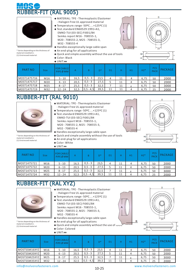



\* Varies depending on the thickness of

material installed in. (1) Unstressed material. **◆** MATERIAL: TPE - Thermoplastic Elastomer - Halogen Free UL approved material

- **◆** Temperature.range -50ºC....+125ºC (1)
- **◆** Test.standard EN60529:1991+A1, EMKO-TUI (03-SEC) FI001/84 Semko.report M16 - 708555-1, M20 - 708555-2, M25 - 708555-3, M32 - 708555-4
- **◆** Handles exceptionally large cable span
- **◆** An end-plug for all applications
- **◆** Quick and simple assembly without the use of tools
- **◆** Color: Black





|                |      | $\triangle$ UNIT:mm            |      |               |       |                |    |    |       |                           |                |
|----------------|------|--------------------------------|------|---------------|-------|----------------|----|----|-------|---------------------------|----------------|
| <b>PART NO</b> | Size | <b>FOR CABLE/</b><br>PIPE Ø MM | A.   | B             | $D^*$ | D <sub>1</sub> | н  | H1 | $H2*$ | <b>PCS</b><br><b>PACK</b> | <b>PACKAGE</b> |
| MOST1475716    | M16  | $5 - 10$                       | 16,5 | $0, 5 - 3$    | 23,5  | 4              | 11 | 4  | 6,75  | 50                        | 2000           |
| MOST1475717    | M20  | $6 - 13$                       | 20,5 | $0, 5 - 3$    | 27,5  | 5              | 11 | 4  | 6,75  | 50                        | 2000           |
| MOST1475718    | M25  | $8 - 17$                       | 25,5 | $0, 5 - 3$    | 32,5  |                | 11 |    | 6,75  | 50                        | 3000           |
| MOST1475719    | M32  | $12 - 24$                      | 32,5 | $0, 5 - 4, 5$ | 39,5  | 11             | 11 | 4  | 6,75  | 25                        | 2000           |

#### RUBBER-FIT (RAL 9010)



- **◆** MATERIAL: TPE Thermoplastic Elastomer - Halogen Free UL approved material
- **◆** Temperature.range -50ºC....+125ºC (1)
- **◆** Test.standard EN60529:1991+A1, EMKO-TUI (03-SEC) FI001/84 Semko.report M16 - 708555-1, M20 - 708555-2, M25 - 708555-3, M32 - 708555-4

**◆** An end-plug for all applications





\* Varies depending on the thickness of material installed in. (1) Unstressed material.

- **◆** Color: White
- **◆** UNIT:**㎜**

| <b>PART NO</b> | <b>Size</b>     | <b>FOR CABLE/</b><br>PIPE Ø MM | A    | B             | D*   | D <sub>1</sub> |    | H1 | $H2*$ | <b>PCS</b><br><b>PACK</b> | <b>PACKAGE</b> |
|----------------|-----------------|--------------------------------|------|---------------|------|----------------|----|----|-------|---------------------------|----------------|
| MOST1475721    | M16             | $5 - 10$                       | 16,5 | $0, 5 - 3$    | 23,5 | 4              | 11 | 4  | 6,75  | 50                        | 2000           |
| MOST1475722    | M20             | $6 - 13$                       | 20,5 | $0, 5 - 3$    | 27,5 |                | 11 | 4  | 6,75  | 50                        | 2000           |
| MOST1475723    | M25             | $8 - 17$                       | 25,5 | $0, 5 - 3$    | 32,5 |                | 11 |    | 6,75  | 50                        | 3000           |
| MOST1475724    | M <sub>32</sub> | $12 - 24$                      | 32,5 | $0, 5 - 4, 5$ | 39,5 | 11             | 11 | 4  | 6.75  | 25                        | 2000           |

## RUBBER-FIT (RAL XYZ)

- **◆** MATERIAL: TPE Thermoplastic Elastomer - Halogen Free UL approved material
- **◆** Temperature.range -50ºC....+125ºC (1)
- **◆** Test.standard EN60529:1991+A1, EMKO-TUI (03-SEC) FI001/84 Semko.report M16 - 708555-1, M20 - 708555-2, M25 - 708555-3, M32 - 708555-4
- **◆** Handles exceptionally large cable span
- **◆** An end-plug for all applications
- **◆** Quick and simple assembly without the use of tools
- **◆** Color: Colored
- **◆** UNIT:**㎜**



\* Varies depending on the thickness of

material installed in. (1) Unstressed material.

#### 10-25 info@molvenofasteners.com www.molvenofasteners.com

B

 $H<sub>2</sub>$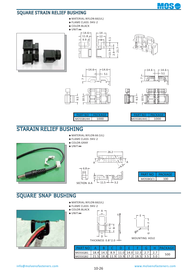

#### SQUARE STRAIN RELIEF BUSHING

- **◆** MATERIAL:NYLON 66(UL)
- **◆** FLAME CLASS :94V-2
- **◆** COLOR:BLACK

**◆** UNIT:**㎜**













| <b>MOSSRII44</b> | п |
|------------------|---|

| PART NO   | PACKAGE |
|-----------|---------|
| MOSSBU441 | 1000    |

#### STARAIN RELIEF BUSHING

- **◆** MATERIAL:NYLON 66 (UL)
- **◆** FLAME CLASS :94V-2
- **◆** COLOR:GRAY

9.5 10.5

 $\overline{1}$ 







| MOSSBQC1 |  |  |  |  |  |  |
|----------|--|--|--|--|--|--|

#### SQUARE SNAP BUSHING



- **◆** MATERIAL:NYLON 66(UL)
- **◆** FLAME CLASS :94V-2
- **◆** COLOR:BLACK **◆** UNIT:**㎜**







MOUNTING HOLE

| PARTNO   A   B   C   D   E   F   G   H  PACKAGE              |  |  |  |  |     |
|--------------------------------------------------------------|--|--|--|--|-----|
| MOSSQB1   18.4   14.5   8.9   11.0   14.0   12.3   2.7   2.7 |  |  |  |  | 500 |
| MOSSQB2 21.5 18.8 11.9 13.9 17.2 18.5 3.5 3.0                |  |  |  |  |     |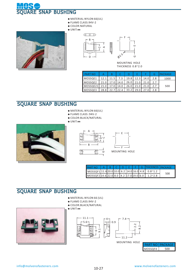

- **◆** MATERIAL:NYLON 66(UL)
- **◆** FLAME CLASS:94V-2
- **◆** COLOR:NATURAL

**◆** UNIT:**㎜**







MOUNTING HOLE THICKNESS 0.8~2.0

| <b>PART NO</b> |                   |      |      |      | F    |      | G.  | PACKAGE |
|----------------|-------------------|------|------|------|------|------|-----|---------|
| MOSSQE1        | 12.1              | 11.5 | 7.3  | 19.8 | 12.3 | 14.0 | 2.8 | 1000    |
| MOSSQE2        | 21.0              | 17.0 | 14.0 | 26.0 |      |      | 2.7 |         |
| MOSSQE21       | 21.0 <sub>1</sub> | 17.0 | 14.0 | 26.0 |      |      | 2.7 | 500     |
| MOSSQE3        | 28.81             | 22.7 | 22.4 | 33.2 | 29.0 |      | 2.8 |         |

#### SQUARE SNAP BUSHING

- **◆** MATERIAL:NYLON 66(UL)
- **◆** FLAME CLASS :94V-2
- **◆** COLOR:BLACK/NATURAL
- **◆** UNIT:**㎜**







MOUNTING HOLE

|                                                  |  |  |  | PART NO   A   B   C   D   E   F   G   THICKNESS   PACKAGE |     |
|--------------------------------------------------|--|--|--|-----------------------------------------------------------|-----|
| MOSSQF1 11.6 20.0 10.0 6.2 14.0 16.0 4.8 0.8~1.2 |  |  |  |                                                           |     |
| $MOSQF2 14.6 22.0 8.0 4.2 17.0 19.0 6.0 1.2^2.8$ |  |  |  |                                                           | 500 |

#### SQUARE SNAP BUSHING

- **◆** MATERIAL:NYLON 66 (UL)
- **◆** FLAME CLASS:94V-2
- **◆** COLOR:BLACK/NATURAL

#### **◆** UNIT:**㎜**





8.2 2.2 11.2 MOUNTING HOLE

| <b>MOSSOF4</b> |  |
|----------------|--|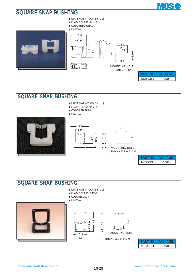



| PART NO | PACKAGE |
|---------|---------|
| MOSSQF5 | 500     |

**MOS** 

#### SQUARE SNAP BUSHING

- **◆** MATERIAL:NYLON 66 (UL)
- **◆** FLAME CLASS:94V-2
- **◆** COLOR:NATURAL
- **◆** UNIT:**㎜**







MOSSQK1 1000 PART NO | PACKAGE

#### SQUARE SNAP BUSHING

- **◆** MATERIAL:NYLON 66 (UL)
- **◆** FLAME CLASS :94V-2
- **◆** COLOR:BLACK







|         | EKAGE |
|---------|-------|
| MOSSQB3 | ∩∩    |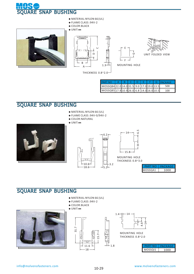



| <b>PART NO</b>                            |  |  |  | A B C D E F G PACKAGE |
|-------------------------------------------|--|--|--|-----------------------|
| MOSSQB422.014.031.5 9.0 17.0 19.0 13.5    |  |  |  | 500                   |
| MOSSQB5 17.9 10.9 26.0 6.8 14.0 16.0 10.5 |  |  |  | 100                   |

#### SQUARE SNAP BUSHING

- **◆** MATERIAL:NYLON 66 (UL)
- **◆** FLAME CLASS :94V-0/94V-2
- **◆** COLOR:NATURAL
- **◆** UNIT:**㎜**





6.2

5.2

3.2

1.8



MOUNTING HOLE THICKNESS 0.8~3.0

| MOSSOA1 | 1000 |
|---------|------|

#### SQUARE SNAP BUSHING

- **◆** MATERIAL:NYLON 66 (UL)
- **◆** FLAME CLASS :94V-2
- **◆** COLOR:BLACK

#### **◆** UNIT:**㎜**







THICKNESS 0.8~2.0

| MOSSO11 | ነበበ |
|---------|-----|